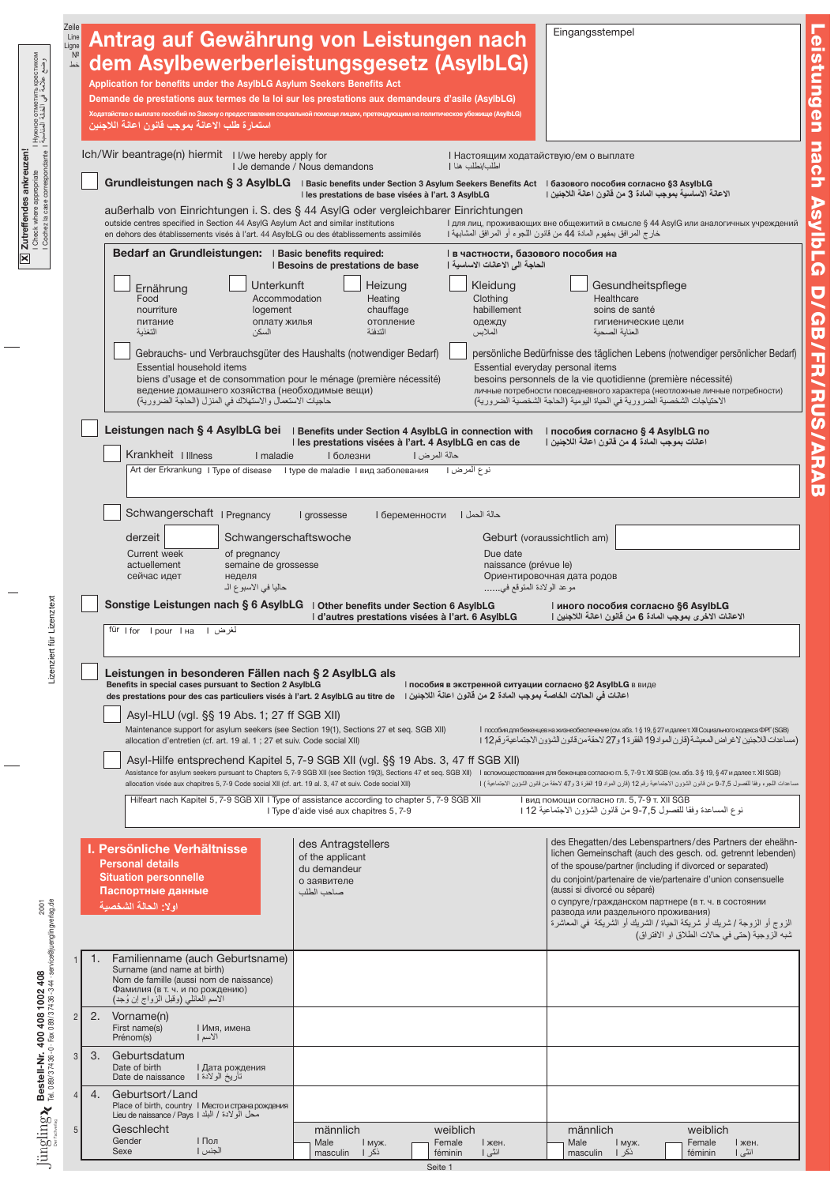| Нужное отметить крестиком  <br>وضع علامة في الخانة المناسبة                                                                                                                                                                                                | Zeile<br>Line<br>Ligne<br>$N^{\circ}$<br>خط |    | استمارة طلب الاعانة بموجب قانون اعانة اللاجئين                                                                                                   | Antrag auf Gewährung von Leistungen nach<br>dem Asylbewerberleistungsgesetz (AsylbLG)<br>Application for benefits under the AsylbLG Asylum Seekers Benefits Act<br>Demande de prestations aux termes de la loi sur les prestations aux demandeurs d'asile (AsylbLG)<br>Ходатайство о выплате пособий по Закону о предоставления социальной помощи лицам, претендующим на политическое убежище (AsylbLG) |                                         |                                                     |                                                                  |                                                       | Eingangsstempel                                                         |                                                                                                                                                                                                                               |
|------------------------------------------------------------------------------------------------------------------------------------------------------------------------------------------------------------------------------------------------------------|---------------------------------------------|----|--------------------------------------------------------------------------------------------------------------------------------------------------|---------------------------------------------------------------------------------------------------------------------------------------------------------------------------------------------------------------------------------------------------------------------------------------------------------------------------------------------------------------------------------------------------------|-----------------------------------------|-----------------------------------------------------|------------------------------------------------------------------|-------------------------------------------------------|-------------------------------------------------------------------------|-------------------------------------------------------------------------------------------------------------------------------------------------------------------------------------------------------------------------------|
|                                                                                                                                                                                                                                                            |                                             |    |                                                                                                                                                  | Ich/Wir beantrage(n) hiermit I I/we hereby apply for                                                                                                                                                                                                                                                                                                                                                    | I Je demande / Nous demandons           |                                                     | I Настоящим ходатайствую/ем о выплате<br>اطلب/نطلب هنا           |                                                       |                                                                         |                                                                                                                                                                                                                               |
| Zutreffendes ankreuzen!<br>  Check where appropriate<br>  Cochez la case correspondante                                                                                                                                                                    |                                             |    |                                                                                                                                                  | Grundleistungen nach § 3 AsylbLG I Basic benefits under Section 3 Asylum Seekers Benefits Act   базового пособия согласно §3 AsylbLG                                                                                                                                                                                                                                                                    |                                         | I les prestations de base visées à l'art. 3 AsylbLG |                                                                  |                                                       | الإعانة الإساسية بموجب المادة 3 من قانون اعانة اللاجئين ا               |                                                                                                                                                                                                                               |
|                                                                                                                                                                                                                                                            |                                             |    |                                                                                                                                                  | außerhalb von Einrichtungen i. S. des § 44 AsylG oder vergleichbarer Einrichtungen<br>outside centres specified in Section 44 AsylG Asylum Act and similar institutions<br>en dehors des établissements visés à l'art. 44 AsylbLG ou des établissements assimilés                                                                                                                                       |                                         |                                                     |                                                                  |                                                       | خارج المرافق بمفهوم الملدة 44 من قانون اللجوء أو المرافق المشابهة ا     | I для лиц, проживающих вне общежитий в смысле § 44 AsylG или аналогичных учреждений                                                                                                                                           |
| $\boxed{\mathbf{X}}$                                                                                                                                                                                                                                       |                                             |    |                                                                                                                                                  | Bedarf an Grundleistungen:   Basic benefits required:                                                                                                                                                                                                                                                                                                                                                   | I Besoins de prestations de base        |                                                     | в частности, базового пособия на<br>الحاجة الى الاعالات الاساسية |                                                       |                                                                         |                                                                                                                                                                                                                               |
|                                                                                                                                                                                                                                                            |                                             |    | Ernährung                                                                                                                                        | Unterkunft                                                                                                                                                                                                                                                                                                                                                                                              |                                         | Heizung                                             | Kleidung                                                         |                                                       | Gesundheitspflege                                                       |                                                                                                                                                                                                                               |
|                                                                                                                                                                                                                                                            |                                             |    | Food<br>nourriture<br>питание                                                                                                                    | Accommodation<br>logement<br>оплату жилья                                                                                                                                                                                                                                                                                                                                                               |                                         | Heating<br>chauffage<br>отопление                   | Clothing<br>habillement<br>одежду                                |                                                       | Healthcare<br>soins de santé<br>гигиенические цели                      |                                                                                                                                                                                                                               |
|                                                                                                                                                                                                                                                            |                                             |    | التغذية                                                                                                                                          | السكن                                                                                                                                                                                                                                                                                                                                                                                                   |                                         | التدفئة                                             | الملابس                                                          |                                                       | العنابة الصحبة                                                          |                                                                                                                                                                                                                               |
|                                                                                                                                                                                                                                                            |                                             |    | Essential household items                                                                                                                        | Gebrauchs- und Verbrauchsgüter des Haushalts (notwendiger Bedarf)<br>biens d'usage et de consommation pour le ménage (première nécessité)<br>ведение домашнего хозяйства (необходимые вещи)                                                                                                                                                                                                             |                                         |                                                     |                                                                  | Essential everyday personal items                     | besoins personnels de la vie quotidienne (première nécessité)           | persönliche Bedürfnisse des täglichen Lebens (notwendiger persönlicher Bedarf)<br>личные потребности повседневного характера (неотложные личные потребности)                                                                  |
|                                                                                                                                                                                                                                                            |                                             |    |                                                                                                                                                  | حاجيات الاستعمال والاستهلاك في المنزل (الحاجة الضرورية)                                                                                                                                                                                                                                                                                                                                                 |                                         |                                                     |                                                                  |                                                       | الاحتياجات الشخصية الضرورية في الحياة اليومية (الحاجة الشخصية الضرورية) |                                                                                                                                                                                                                               |
|                                                                                                                                                                                                                                                            |                                             |    | Krankheit   Illness                                                                                                                              | Leistungen nach § 4 AsylbLG bei   Benefits under Section 4 AsylbLG in connection with   пособия согласно § 4 AsylbLG по<br>I maladie                                                                                                                                                                                                                                                                    | <b>I</b> болезни                        | حالة المر ض                                         | I les prestations visées à l'art. 4 AsylbLG en cas de            |                                                       | اعانات بموجب المادة 4 من قانون اعانة اللاجنين                           |                                                                                                                                                                                                                               |
|                                                                                                                                                                                                                                                            |                                             |    |                                                                                                                                                  | Art der Erkrankung I Type of disease                                                                                                                                                                                                                                                                                                                                                                    |                                         | I type de maladie І вид заболевания                 | نوع المرض                                                        |                                                       |                                                                         |                                                                                                                                                                                                                               |
|                                                                                                                                                                                                                                                            |                                             |    |                                                                                                                                                  | Schwangerschaft   Pregnancy                                                                                                                                                                                                                                                                                                                                                                             | I grossesse                             | <b>I</b> беременности                               | حالة الحمل                                                       |                                                       |                                                                         |                                                                                                                                                                                                                               |
|                                                                                                                                                                                                                                                            |                                             |    | derzeit                                                                                                                                          | Schwangerschaftswoche                                                                                                                                                                                                                                                                                                                                                                                   |                                         |                                                     |                                                                  | Geburt (voraussichtlich am)                           |                                                                         |                                                                                                                                                                                                                               |
|                                                                                                                                                                                                                                                            |                                             |    | <b>Current week</b><br>actuellement                                                                                                              | of pregnancy<br>semaine de grossesse                                                                                                                                                                                                                                                                                                                                                                    |                                         |                                                     | Due date                                                         | naissance (prévue le)                                 |                                                                         |                                                                                                                                                                                                                               |
|                                                                                                                                                                                                                                                            |                                             |    | сейчас идет                                                                                                                                      | неделя<br>حاليا في الاسبو ع الـ                                                                                                                                                                                                                                                                                                                                                                         |                                         |                                                     |                                                                  | Ориентировочная дата родов<br>موعد الولادة المتوقع في |                                                                         |                                                                                                                                                                                                                               |
| Lizenztext                                                                                                                                                                                                                                                 |                                             |    |                                                                                                                                                  | Sonstige Leistungen nach § 6 AsylbLG   Other benefits under Section 6 AsylbLG                                                                                                                                                                                                                                                                                                                           |                                         |                                                     | I d'autres prestations visées à l'art. 6 AsylbLG                 |                                                       | иного пособия согласно §6 AsylbLG                                       | الاعانات الاخرى بموجب المادة 6 من قانون اعانة اللاجنين                                                                                                                                                                        |
|                                                                                                                                                                                                                                                            |                                             |    | أخرض ا fürlfor Ipour Iна                                                                                                                         |                                                                                                                                                                                                                                                                                                                                                                                                         |                                         |                                                     |                                                                  |                                                       |                                                                         |                                                                                                                                                                                                                               |
| Lizenziert fi                                                                                                                                                                                                                                              |                                             |    |                                                                                                                                                  | Leistungen in besonderen Fällen nach § 2 AsylbLG als<br>Benefits in special cases pursuant to Section 2 AsylbLG                                                                                                                                                                                                                                                                                         |                                         |                                                     | I пособия в экстренной ситуации согласно §2 AsylbLG в виде       |                                                       |                                                                         |                                                                                                                                                                                                                               |
|                                                                                                                                                                                                                                                            |                                             |    |                                                                                                                                                  | اعانات في الحالات الخاصة بموجب المادة 2 من قانون اعانة اللاجنين ا   des prestations pour des cas particuliers visés à l'art. 2 AsylbLG au titre de<br>Asyl-HLU (vgl. §§ 19 Abs. 1; 27 ff SGB XII)                                                                                                                                                                                                       |                                         |                                                     |                                                                  |                                                       |                                                                         |                                                                                                                                                                                                                               |
|                                                                                                                                                                                                                                                            |                                             |    |                                                                                                                                                  | Maintenance support for asylum seekers (see Section 19(1), Sections 27 et seq. SGB XII)<br>allocation d'entretien (cf. art. 19 al. 1 ; 27 et suiv. Code social XII)                                                                                                                                                                                                                                     |                                         |                                                     |                                                                  |                                                       |                                                                         | 1 пособия для беженцев на жизнеобеспечение (см. абз. 1 § 19, § 27 и далее т. XII Социального кодекса ФРГ (SGB)<br>(مساعدات اللاجئين لاغر اض المعيشة (قارن المواد 19 الفقرة 1 و27 لاحقة من قانون الشؤون الاجتماعية رقم12 1     |
|                                                                                                                                                                                                                                                            |                                             |    |                                                                                                                                                  | Asyl-Hilfe entsprechend Kapitel 5, 7-9 SGB XII (vgl. §§ 19 Abs. 3, 47 ff SGB XII)                                                                                                                                                                                                                                                                                                                       |                                         |                                                     |                                                                  |                                                       |                                                                         | Assistance for asylum seekers pursuant to Chapters 5, 7-9 SGB XII (see Section 19(3), Sections 47 et seq. SGB XII) I вспомоществования для беженцев согласно гл. 5, 7-9 т. XII SGB (см. абз. 3 § 19, § 47 и далее т. XII SGB) |
|                                                                                                                                                                                                                                                            |                                             |    |                                                                                                                                                  | allocation visée aux chapitres 5, 7-9 Code social XII (cf. art. 19 al. 3, 47 et suiv. Code social XII)<br>Hilfeart nach Kapitel 5, 7-9 SGB XII I Type of assistance according to chapter 5, 7-9 SGB XII                                                                                                                                                                                                 |                                         |                                                     |                                                                  |                                                       | I вид помощи согласно гл. 5, 7-9 т. XII SGB                             | مساعدات اللجوء وفقا للفصول 9-7,5 من قانون الشؤون الاجتماعية رقم 12 (قارن المواد 19 الفقرة 3 و47 لاحقة من قانون الثمؤون الاجتماعية )                                                                                           |
|                                                                                                                                                                                                                                                            |                                             |    |                                                                                                                                                  |                                                                                                                                                                                                                                                                                                                                                                                                         | I Type d'aide visé aux chapitres 5, 7-9 |                                                     |                                                                  |                                                       |                                                                         | نوع المساعدة وفقا للفصول 7.5-9 من قانون الشؤون الاجتماعية 12 [                                                                                                                                                                |
|                                                                                                                                                                                                                                                            |                                             |    | I. Persönliche Verhältnisse                                                                                                                      |                                                                                                                                                                                                                                                                                                                                                                                                         | des Antragstellers<br>of the applicant  |                                                     |                                                                  |                                                       |                                                                         | des Ehegatten/des Lebenspartners/des Partners der eheähn-<br>lichen Gemeinschaft (auch des gesch. od. getrennt lebenden)                                                                                                      |
|                                                                                                                                                                                                                                                            |                                             |    | <b>Personal details</b><br><b>Situation personnelle</b>                                                                                          |                                                                                                                                                                                                                                                                                                                                                                                                         | du demandeur<br>о заявителе             |                                                     |                                                                  |                                                       |                                                                         | of the spouse/partner (including if divorced or separated)<br>du conjoint/partenaire de vie/partenaire d'union consensuelle                                                                                                   |
|                                                                                                                                                                                                                                                            |                                             |    | Паспортные данные<br>او لا: الحالة الشخصية                                                                                                       |                                                                                                                                                                                                                                                                                                                                                                                                         | صباحب الطلب                             |                                                     |                                                                  |                                                       | (aussi si divorcé ou séparé)<br>развода или раздельного проживания)     | о супруге/гражданском партнере (в т. ч. в состоянии                                                                                                                                                                           |
|                                                                                                                                                                                                                                                            |                                             |    |                                                                                                                                                  |                                                                                                                                                                                                                                                                                                                                                                                                         |                                         |                                                     |                                                                  |                                                       |                                                                         | الزوج أو الزوجة / شريك أو شريكة الحياة / الشريك أو الشريكة  في المعاشرة<br>شبه الزوجية (حتى في حالات الطلاق او الافتراق)                                                                                                      |
|                                                                                                                                                                                                                                                            |                                             | 1. |                                                                                                                                                  | Familienname (auch Geburtsname)                                                                                                                                                                                                                                                                                                                                                                         |                                         |                                                     |                                                                  |                                                       |                                                                         |                                                                                                                                                                                                                               |
|                                                                                                                                                                                                                                                            |                                             |    | Surname (and name at birth)<br>Nom de famille (aussi nom de naissance)<br>Фамилия (в т. ч. и по рождению)<br>الاسم العائلي (وقبل الزواج إن وُجد) |                                                                                                                                                                                                                                                                                                                                                                                                         |                                         |                                                     |                                                                  |                                                       |                                                                         |                                                                                                                                                                                                                               |
|                                                                                                                                                                                                                                                            | $\overline{c}$                              |    | 2. Vorname(n)<br>First name(s)<br>Prénom(s)                                                                                                      | I Имя, имена<br>الاسم                                                                                                                                                                                                                                                                                                                                                                                   |                                         |                                                     |                                                                  |                                                       |                                                                         |                                                                                                                                                                                                                               |
| $\mathrm{Jungling} \mathbf{X}_{\text{B}(\text{100377436-0)} \text{F} \text{av}}$ Bestell-Nr. 400 408 1002 408<br>- $\mathrm{Jung}$ and $\mathrm{Jung}$ and $\mathrm{Jung}$ and $\mathrm{Jung}$ and $\mathrm{Jung}$ and $\mathrm{Jung}$ and $\mathrm{Jung}$ | $\mathbf{3}$                                | 3. | Geburtsdatum<br>Date of birth<br>Date de naissance                                                                                               | I Дата рождения<br>تأريخ الولادة                                                                                                                                                                                                                                                                                                                                                                        |                                         |                                                     |                                                                  |                                                       |                                                                         |                                                                                                                                                                                                                               |
|                                                                                                                                                                                                                                                            | $\Delta$                                    |    | 4. Geburtsort/Land                                                                                                                               | Place of birth, country I Место и страна рождения                                                                                                                                                                                                                                                                                                                                                       |                                         |                                                     |                                                                  |                                                       |                                                                         |                                                                                                                                                                                                                               |
|                                                                                                                                                                                                                                                            | 5                                           |    | Lieu de naissance / Pays   البلد Lieu de naissance / Pays   البلد<br>Geschlecht<br>Gender                                                        | <b>I</b> Пол                                                                                                                                                                                                                                                                                                                                                                                            | männlich<br>Male                        |                                                     | weiblich                                                         |                                                       | männlich                                                                | weiblich                                                                                                                                                                                                                      |
|                                                                                                                                                                                                                                                            |                                             |    | Sexe                                                                                                                                             | الجنس                                                                                                                                                                                                                                                                                                                                                                                                   | masculin                                | I муж.<br>ذكر ا                                     | Female<br>I жен.<br>انٹی ا<br>féminin                            | Male                                                  | I муж.<br>ذكر ا<br>masculin                                             | Female<br>I жен.<br>انٹی ا<br>féminin                                                                                                                                                                                         |

Leistungen nach AsylbLG D/ **Gild** FR/RU S /ARAB Leistungen nach Asylb L  $\boldsymbol{\Omega}$ D/ GB/ **FR/RU** S /ARAB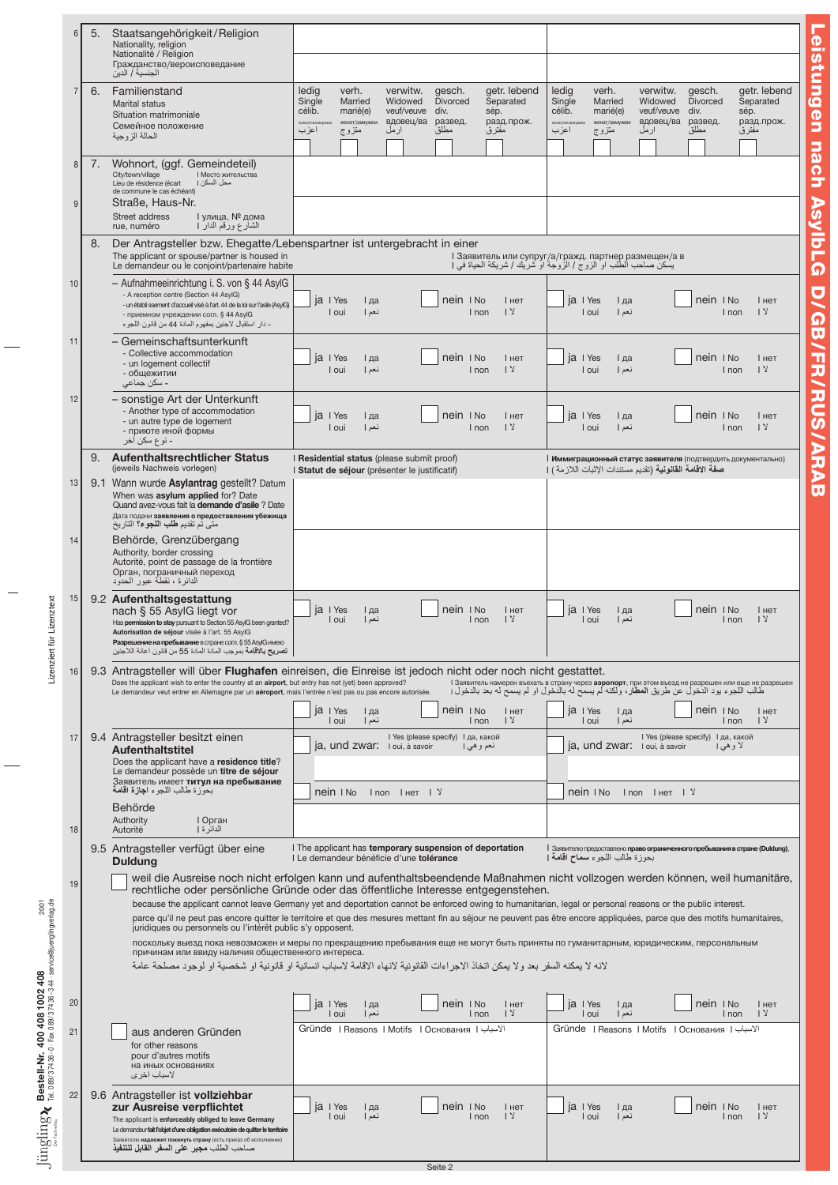|                                                                                                    | $6\phantom{1}$          | 5. | Staatsangehörigkeit/Religion<br>Nationality, religion<br>Nationalité / Religion<br>Гражданство/вероисповедание<br>الجنسية / الدين                                                                                                                                                                                                      |                                                                                                                                                                                                                                                                                                                                                                                                                                                                                                                                                                            |
|----------------------------------------------------------------------------------------------------|-------------------------|----|----------------------------------------------------------------------------------------------------------------------------------------------------------------------------------------------------------------------------------------------------------------------------------------------------------------------------------------|----------------------------------------------------------------------------------------------------------------------------------------------------------------------------------------------------------------------------------------------------------------------------------------------------------------------------------------------------------------------------------------------------------------------------------------------------------------------------------------------------------------------------------------------------------------------------|
|                                                                                                    | $\overline{7}$          | 6. | Familienstand<br><b>Marital status</b><br>Situation matrimoniale<br>Семейное положение<br>الحالة الزوجية                                                                                                                                                                                                                               | ledig<br>getr. lebend<br>ledig<br>getr. lebend<br>verh.<br>verwitw.<br>gesch.<br>verh.<br>verwitw.<br>gesch.<br><b>Divorced</b><br>Separated<br>Separated<br>Single<br>Married<br>Widowed<br>Single<br>Married<br>Widowed<br><b>Divorced</b><br>célib.<br>marié(e)<br>veuf/veuve<br>div.<br>sép.<br>célib.<br>marié(e)<br>veuf/veuve<br>div.<br>sép.<br>вдовец/ва<br>развед.<br>разд. прож.<br>вдовец/ва<br>развед.<br>разд.прож.<br>женат/замужем<br>женат/замужем<br>холост/незамуж<br>مطلق<br>مطلق<br>اعزب<br>مفترق<br>اعزب<br>ار مل<br>متزوج<br>ارمل<br>متزوج<br>مفترق |
|                                                                                                    | $\boldsymbol{8}$<br>$9$ | 7. | Wohnort, (ggf. Gemeindeteil)<br>City/town/village<br><b>I Место жительства</b><br>Lieu de résidence (écart<br>محل السكن ا<br>de commune le cas échéant)<br>Straße, Haus-Nr.<br>Street address<br>∣ улица. № дома<br>الشارع ورقم الدار  <br>rue, numéro                                                                                 |                                                                                                                                                                                                                                                                                                                                                                                                                                                                                                                                                                            |
|                                                                                                    |                         | 8. | The applicant or spouse/partner is housed in<br>Le demandeur ou le conjoint/partenaire habite                                                                                                                                                                                                                                          | Der Antragsteller bzw. Ehegatte/Lebenspartner ist untergebracht in einer<br>I Заявитель или супруг/а/гражд. партнер размещен/а в<br>يسكن صاحب الطَّلب او الزوج / الزَّوجة او شَرْيَك / شريكة الحياة في                                                                                                                                                                                                                                                                                                                                                                     |
|                                                                                                    | 10                      |    | - Aufnahmeeinrichtung i. S. von § 44 AsylG<br>- A reception centre (Section 44 AsylG)<br>- un établi ssement d'accueil visé à l'art. 44 de la loi sur l'asile (AsvIG)<br>- приемном учреждении согл. § 44 AsylG<br>- دار استقبال لاجئين بمفهوم المادة 44 من قانون اللجوء                                                               | nein I No<br>ja I Yes<br>nein INo<br>ja I Yes<br>I нет<br>І да<br>I нет<br>I да<br>1 <sup>2</sup><br>نعم  <br>1 <sup>2</sup><br>I oui<br>نعم  <br>I non<br>I oui<br>I non                                                                                                                                                                                                                                                                                                                                                                                                  |
|                                                                                                    | 11                      |    | – Gemeinschaftsunterkunft<br>- Collective accommodation<br>- un logement collectif<br>- общежитии<br>- سکن ج <i>م</i> اع <i>ی</i>                                                                                                                                                                                                      | nein I No<br>ja I Yes<br>nein I No<br>ia<br>I Yes<br>I нет<br>І да<br>I нет<br>I да<br>1 <sup>2</sup><br>I oui<br>نعم  <br>I oui<br>نعم  <br>$\sqrt{2}$<br>I non<br>I non                                                                                                                                                                                                                                                                                                                                                                                                  |
|                                                                                                    | 12                      |    | - sonstige Art der Unterkunft<br>- Another type of accommodation<br>- un autre type de logement<br>- приюте иной формы<br>۔ نو ع سکن آخر                                                                                                                                                                                               | nein I No<br>nein I No<br>ja I Yes<br>ja I Yes<br>I да<br>I нет<br>I да<br>I нет<br>1 <sup>2</sup><br>I oui<br>نعم  <br>I non<br>I oui<br>نعم إ<br>I non<br>1 <sup>2</sup>                                                                                                                                                                                                                                                                                                                                                                                                 |
|                                                                                                    |                         |    | 9. Aufenthaltsrechtlicher Status<br>(jeweils Nachweis vorlegen)                                                                                                                                                                                                                                                                        | I Residential status (please submit proof)<br>Иммиграционный статус заявителя (подтвердить документально)                                                                                                                                                                                                                                                                                                                                                                                                                                                                  |
|                                                                                                    | 13                      |    | 9.1 Wann wurde Asylantrag gestellt? Datum<br>When was asylum applied for? Date<br>Quand avez-vous fait la demande d'asile ? Date<br>Дата подачи заявления о предоставления убежища<br>متي تم تقديم <b>طلب اللجوء؟</b> التاريخ                                                                                                          | صفة الاقامة القانونية (تقديم مستندات الإثبات اللازمة ) [<br>I Statut de séjour (présenter le justificatif)                                                                                                                                                                                                                                                                                                                                                                                                                                                                 |
|                                                                                                    | 14                      |    | Behörde, Grenzübergang<br>Authority, border crossing<br>Autorité, point de passage de la frontière<br>Орган, пограничный переход<br>الدائرة ، نقطة عبور الحدود                                                                                                                                                                         |                                                                                                                                                                                                                                                                                                                                                                                                                                                                                                                                                                            |
| für Lizenztext                                                                                     | 15                      |    | 9.2 Aufenthaltsgestattung<br>nach § 55 AsylG liegt vor<br>Has permission to stay pursuant to Section 55 AsylG been granted?<br>Autorisation de séjour visée à l'art. 55 AsylG<br>Разрешение на пребывание в стране согл. § 55 AsylG имею<br><b>تصريح بالاقامه</b> بموجب المادة المادة 55 من قانون اعانة اللاجئين                       | nein I No<br>ia I Yes<br>nein I No<br>$ a $   Yes<br>I да<br>I нет<br>I да<br>I нет<br>1 <sup>2</sup><br>1 <sup>2</sup><br>I oui<br>I non<br>I oui<br>نعم  <br>I non<br>نعم إ                                                                                                                                                                                                                                                                                                                                                                                              |
| Lizenziert                                                                                         | 16                      |    | Does the applicant wish to enter the country at an airport, but entry has not (yet) been approved?<br>Le demandeur veut entrer en Allemagne par un aéroport, mais l'entrée n'est pas ou pas encore autorisée.                                                                                                                          | 9.3 Antragsteller will über <b>Flughafen</b> einreisen, die Einreise ist jedoch nicht oder noch nicht gestattet.<br>I Заявитель намерен въехать в страну через аэропорт, при этом въезд не разрешен или еще не разрешен<br>طالب اللجوء يود الدخول عن طريق المطار، ولكنه لم يسمح له بالدخول او لم يسمح له بعد بالدخول <sub>ا</sub>                                                                                                                                                                                                                                          |
|                                                                                                    |                         |    |                                                                                                                                                                                                                                                                                                                                        | $nein$ $ $ $No$<br>ja   Yes<br>ia I Yes<br>nein   No<br>I да<br>I нет<br>I да<br><b>Нет</b><br>$\sqrt{2}$<br>$\sqrt{2}$<br>نعم ا<br>I non<br>I non<br>I oui<br>I oui<br>نعم إ                                                                                                                                                                                                                                                                                                                                                                                              |
|                                                                                                    | 17                      |    | 9.4 Antragsteller besitzt einen<br><b>Aufenthaltstitel</b><br>Does the applicant have a residence title?                                                                                                                                                                                                                               | I Yes (please specify) І да, какой<br>I Yes (please specify) І да, какой<br>ja, und zwar: I oui, à savoir<br><b>ja, und zwar:</b> I oui, à savoir<br>نعم و هي ا<br>لاوهى                                                                                                                                                                                                                                                                                                                                                                                                   |
|                                                                                                    |                         |    | Le demandeur possède un titre de séjour<br>Заявитель имеет титул на пребывание<br>بحوزة طالب اللجوء ا <b>جازة اقامة</b>                                                                                                                                                                                                                | nein I No<br>Inon I нет I У<br>$n \sin \theta$<br>Inon Iнет I У                                                                                                                                                                                                                                                                                                                                                                                                                                                                                                            |
|                                                                                                    | 18                      |    | Behörde<br>Authority<br>I Орган<br>الدائر ۃ  <br>Autorité                                                                                                                                                                                                                                                                              |                                                                                                                                                                                                                                                                                                                                                                                                                                                                                                                                                                            |
|                                                                                                    |                         |    | 9.5 Antragsteller verfügt über eine<br><b>Duldung</b>                                                                                                                                                                                                                                                                                  | I The applicant has temporary suspension of deportation<br>  Заявителю предоставлено право ограниченного пребывания в стране (Duldung),<br>بحوزة طالب اللجوء سماح اقامة إ<br>I Le demandeur bénéficie d'une tolérance                                                                                                                                                                                                                                                                                                                                                      |
|                                                                                                    | 19                      |    | juridiques ou personnels ou l'intérêt public s'y opposent.                                                                                                                                                                                                                                                                             | weil die Ausreise noch nicht erfolgen kann und aufenthaltsbeendende Maßnahmen nicht vollzogen werden können, weil humanitäre,<br>rechtliche oder persönliche Gründe oder das öffentliche Interesse entgegenstehen.<br>because the applicant cannot leave Germany yet and deportation cannot be enforced owing to humanitarian, legal or personal reasons or the public interest.<br>parce qu'il ne peut pas encore quitter le territoire et que des mesures mettant fin au séjour ne peuvent pas être encore appliquées, parce que des motifs humanitaires,                |
|                                                                                                    |                         |    | причинам или ввиду наличия общественного интереса.                                                                                                                                                                                                                                                                                     | поскольку выезд пока невозможен и меры по прекращению пребывания еще не могут быть приняты по гуманитарным, юридическим, персональным<br>لانه لا يمكنه السفر بعد و لا يمكن اتخاذ الاجر اءات القانونية لانهاء الاقامة لاسباب انسانية او قانونية او شخصية او لوجود مصلحة عامة                                                                                                                                                                                                                                                                                                |
|                                                                                                    | 20                      |    |                                                                                                                                                                                                                                                                                                                                        | nein I No<br>nein INo<br>$ a $   Yes<br>I нет<br>$ a $ Yes<br>I да<br>I да<br>I нет                                                                                                                                                                                                                                                                                                                                                                                                                                                                                        |
| Bestell-Nr. 400 408 1002 408<br>Tel. 089/37436-0 Fax 089/37436-344 service@juenglingverlag.de      | 21                      |    | aus anderen Gründen<br>for other reasons<br>pour d'autres motifs<br>на иных основаниях<br>لاسباب اخر ي                                                                                                                                                                                                                                 | $\sqrt{2}$<br>$\sqrt{2}$<br>I oui<br>نعم  <br>I non<br>I oui<br>نعم  <br>I non<br>Gründe   Reasons   Motifs   Основания   الأسباب  <br>الأسباب Gründe   Reasons   Motifs   Основания   الأسباب                                                                                                                                                                                                                                                                                                                                                                             |
| $\underset{\tiny{\text{Decomass}}}{\lim\underset{\tiny{\text{Decomass}}}{\text{gling}}}\mathbf{X}$ | 22                      |    | 9.6 Antragsteller ist <b>vollziehbar</b><br>zur Ausreise verpflichtet<br>The applicant is enforceably obliged to leave Germany<br>Le demandeur fait l'objet d'une obligation exécutoire de quitter le territoire<br>Заявителю надлежит покинуть страну (есть приказ об исполнении)<br>صـاحب الطلب <b>مجبر على السفر القابل للتنفيذ</b> | ja I Yes<br>nein I No<br>$ a $ I Yes<br>nein I No<br>I нет<br>I да<br>I нет<br>I да<br>$\sqrt{2}$<br>$\sqrt{2}$<br>I oui<br>نعم ا<br>I non<br>I oui<br>نعم  <br>I non                                                                                                                                                                                                                                                                                                                                                                                                      |
|                                                                                                    |                         |    |                                                                                                                                                                                                                                                                                                                                        | Seite 2                                                                                                                                                                                                                                                                                                                                                                                                                                                                                                                                                                    |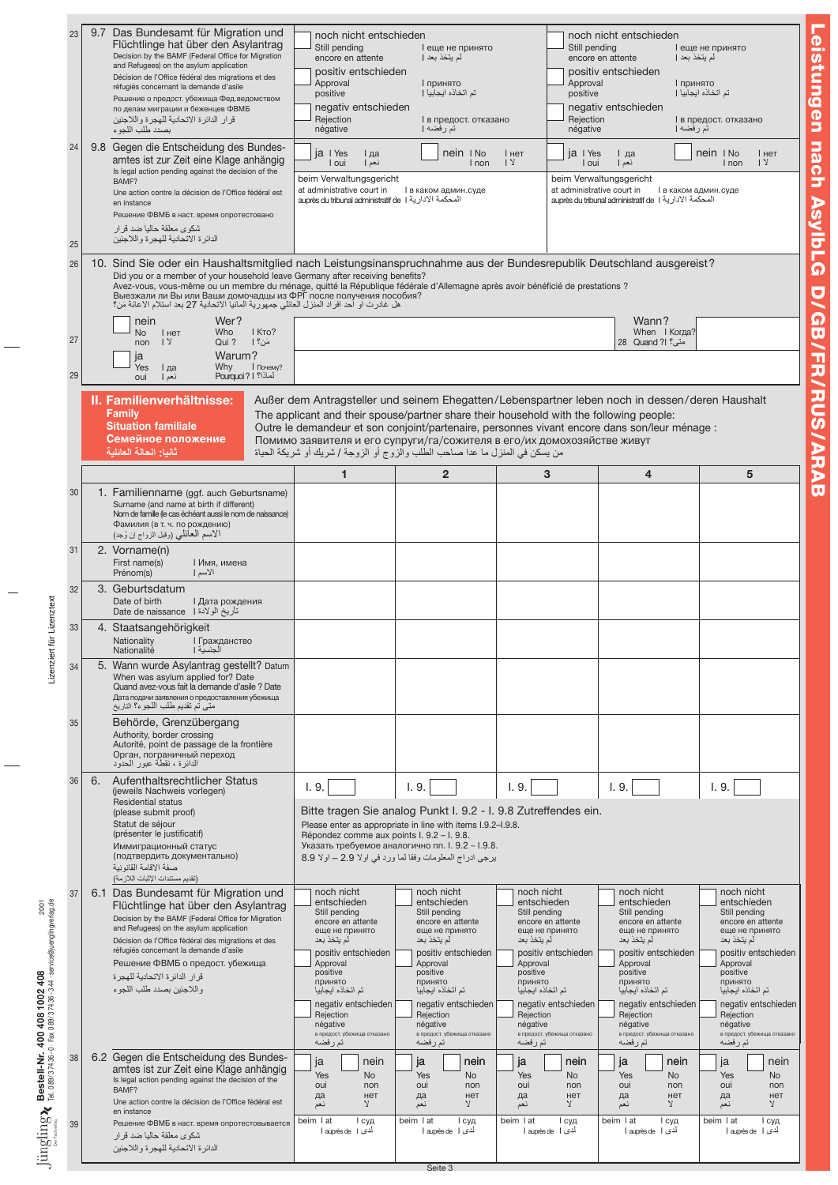| 23<br>24<br>25<br>26 | 9.7 Das Bundesamt für Migration und<br>Flüchtlinge hat über den Asylantrag<br>Decision by the BAMF (Federal Office for Migration<br>and Refugees) on the asylum application<br>Décision de l'Office fédéral des migrations et des<br>réfugiés concernant la demande d'asile<br>Решение о предост. убежища Фед. ведомством<br>по делам миграции и беженцев ФВМБ<br>قر ار الدائرة الاتحادية للهجرة واللاجئين<br>بصدد طلب اللجو ء<br>9.8 Gegen die Entscheidung des Bundes-<br>amtes ist zur Zeit eine Klage anhängig<br>Is legal action pending against the decision of the<br>BAMF?<br>Une action contre la décision de l'Office fédéral est<br>en instance<br>Решение ФВМБ в наст. время опротестовано<br>شكوى معلقة حاليا ضد قرار<br>الدائر ة الأتحادية للهجر ة و اللاجئين<br>10. Sind Sie oder ein Haushaltsmitglied nach Leistungsinanspruchnahme aus der Bundesrepublik Deutschland ausgereist?<br>Did you or a member of your household leave Germany after receiving benefits?<br>Avez-vous, vous-même ou un membre du ménage, quitté la République fédérale d'Allemagne après avoir bénéficié de prestations ?<br>Выезжали ли Вы или Ваши домочадцы из ФРГ после получения пособия?<br>هل غادرت او أحد افراد المنزل العائلي جمهورية المانيا الاتحادية 27 بعد استلام الاعانة مَن؟<br>Wer?<br>nein<br>Who<br>I KTO?<br><b>No</b><br>I нет | noch nicht entschieden<br>Still pending<br>encore en attente<br>positiv entschieden<br>Approval<br>positive<br>negativ entschieden<br>Rejection<br>négative<br>ja I Yes<br>I да<br>I oui<br>نعم  <br>beim Verwaltungsgericht<br>at administrative court in<br>auprès du tribunal administratif de   I المحكمة الادارية auprès du tribunal administratif de                                                                                           | I еще не принято<br>لم يتخذ بعد  <br>I принято<br>تم اتخاذه ايجابيا [<br>I в предост. отказано<br>تم رفضه  <br>nein I No<br>I non<br>I в каком админ.суде                                                                                                                  | I нет<br>1 <sup>2</sup>                                                                                                                                                                                                                                                    | noch nicht entschieden<br>Still pending<br>encore en attente<br>positiv entschieden<br>Approval<br>positive<br>negativ entschieden<br>Rejection<br>négative<br>ja I Yes<br>I да<br>I oui<br>نعم  <br>beim Verwaltungsgericht<br>at administrative court in<br>auprès du tribunal administratif de   المحكمة الادارية 1<br>Wann?<br>When I Когда? | I еще не принято<br>لم يتخذ بعد  <br>I принято<br>تم اتخاذه ابجابيا  <br>I в предост. отказано<br>تم رفضه  <br>nein I No<br>I нет<br>1 <sup>2</sup><br>I non<br>I в каком админ.суде                                                                                      |
|----------------------|------------------------------------------------------------------------------------------------------------------------------------------------------------------------------------------------------------------------------------------------------------------------------------------------------------------------------------------------------------------------------------------------------------------------------------------------------------------------------------------------------------------------------------------------------------------------------------------------------------------------------------------------------------------------------------------------------------------------------------------------------------------------------------------------------------------------------------------------------------------------------------------------------------------------------------------------------------------------------------------------------------------------------------------------------------------------------------------------------------------------------------------------------------------------------------------------------------------------------------------------------------------------------------------------------------------------------------------------|------------------------------------------------------------------------------------------------------------------------------------------------------------------------------------------------------------------------------------------------------------------------------------------------------------------------------------------------------------------------------------------------------------------------------------------------------|----------------------------------------------------------------------------------------------------------------------------------------------------------------------------------------------------------------------------------------------------------------------------|----------------------------------------------------------------------------------------------------------------------------------------------------------------------------------------------------------------------------------------------------------------------------|--------------------------------------------------------------------------------------------------------------------------------------------------------------------------------------------------------------------------------------------------------------------------------------------------------------------------------------------------|---------------------------------------------------------------------------------------------------------------------------------------------------------------------------------------------------------------------------------------------------------------------------|
| 27<br>29             | مَنْ؟ إ<br>$\sqrt{2}$<br>Qui?<br>non<br>Warum?<br>ia<br>Why<br><b>  Почему?</b><br>Yes<br>I да<br>Pourauoi?   !                                                                                                                                                                                                                                                                                                                                                                                                                                                                                                                                                                                                                                                                                                                                                                                                                                                                                                                                                                                                                                                                                                                                                                                                                                |                                                                                                                                                                                                                                                                                                                                                                                                                                                      |                                                                                                                                                                                                                                                                            |                                                                                                                                                                                                                                                                            | متى؟ 28 Quand ?!                                                                                                                                                                                                                                                                                                                                 |                                                                                                                                                                                                                                                                           |
|                      | نعم  <br>oui<br>II. Familienverhältnisse:<br>Family<br><b>Situation familiale</b><br>Семейное положение<br>ثانيا: الحالة العائلية                                                                                                                                                                                                                                                                                                                                                                                                                                                                                                                                                                                                                                                                                                                                                                                                                                                                                                                                                                                                                                                                                                                                                                                                              | Außer dem Antragsteller und seinem Ehegatten/Lebenspartner leben noch in dessen/deren Haushalt<br>The applicant and their spouse/partner share their household with the following people:<br>Outre le demandeur et son conjoint/partenaire, personnes vivant encore dans son/leur ménage :<br>Помимо заявителя и его супруги/га/сожителя в его/их домохозяйстве живут<br>من يسكن في المنزل ما عدا صاحب الطلب والزوج أو الزوجة / شريك أو شريكة الحياة |                                                                                                                                                                                                                                                                            |                                                                                                                                                                                                                                                                            |                                                                                                                                                                                                                                                                                                                                                  |                                                                                                                                                                                                                                                                           |
|                      |                                                                                                                                                                                                                                                                                                                                                                                                                                                                                                                                                                                                                                                                                                                                                                                                                                                                                                                                                                                                                                                                                                                                                                                                                                                                                                                                                | 1                                                                                                                                                                                                                                                                                                                                                                                                                                                    | $\overline{2}$                                                                                                                                                                                                                                                             | 3                                                                                                                                                                                                                                                                          | 4                                                                                                                                                                                                                                                                                                                                                | 5                                                                                                                                                                                                                                                                         |
| 30                   | 1. Familienname (ggf. auch Geburtsname)<br>Surname (and name at birth if different)<br>Nom de famille (le cas échéant aussi le nom de naissance)<br>Фамилия (в т. ч. по рождению)<br>الاسم المعائلي (وقبل الزواج إن وُجد)                                                                                                                                                                                                                                                                                                                                                                                                                                                                                                                                                                                                                                                                                                                                                                                                                                                                                                                                                                                                                                                                                                                      |                                                                                                                                                                                                                                                                                                                                                                                                                                                      |                                                                                                                                                                                                                                                                            |                                                                                                                                                                                                                                                                            |                                                                                                                                                                                                                                                                                                                                                  |                                                                                                                                                                                                                                                                           |
| 31                   | 2. Vorname(n)<br>First name(s)<br>I Имя, имена<br>Prénom(s)<br>الأسم                                                                                                                                                                                                                                                                                                                                                                                                                                                                                                                                                                                                                                                                                                                                                                                                                                                                                                                                                                                                                                                                                                                                                                                                                                                                           |                                                                                                                                                                                                                                                                                                                                                                                                                                                      |                                                                                                                                                                                                                                                                            |                                                                                                                                                                                                                                                                            |                                                                                                                                                                                                                                                                                                                                                  |                                                                                                                                                                                                                                                                           |
| 32                   | 3. Geburtsdatum<br>Date of birth<br>I Дата рождения<br>تأريخ الولادة Date de naissance 1                                                                                                                                                                                                                                                                                                                                                                                                                                                                                                                                                                                                                                                                                                                                                                                                                                                                                                                                                                                                                                                                                                                                                                                                                                                       |                                                                                                                                                                                                                                                                                                                                                                                                                                                      |                                                                                                                                                                                                                                                                            |                                                                                                                                                                                                                                                                            |                                                                                                                                                                                                                                                                                                                                                  |                                                                                                                                                                                                                                                                           |
| 33                   | 4. Staatsangehörigkeit<br>Nationality<br><b>I</b> Гражданство<br>Nationalité<br>الجنسية                                                                                                                                                                                                                                                                                                                                                                                                                                                                                                                                                                                                                                                                                                                                                                                                                                                                                                                                                                                                                                                                                                                                                                                                                                                        |                                                                                                                                                                                                                                                                                                                                                                                                                                                      |                                                                                                                                                                                                                                                                            |                                                                                                                                                                                                                                                                            |                                                                                                                                                                                                                                                                                                                                                  |                                                                                                                                                                                                                                                                           |
| 34                   | 5. Wann wurde Asylantrag gestellt? Datum<br>When was asylum applied for? Date<br>Quand avez-vous fait la demande d'asile ? Date<br>Дата подачи заявления о предоставления убежища<br>متي تم تقديم طلب اللجوء؟ التاريخ                                                                                                                                                                                                                                                                                                                                                                                                                                                                                                                                                                                                                                                                                                                                                                                                                                                                                                                                                                                                                                                                                                                          |                                                                                                                                                                                                                                                                                                                                                                                                                                                      |                                                                                                                                                                                                                                                                            |                                                                                                                                                                                                                                                                            |                                                                                                                                                                                                                                                                                                                                                  |                                                                                                                                                                                                                                                                           |
| 35                   | Behörde, Grenzübergang<br>Authority, border crossing<br>Autorité, point de passage de la frontière<br>Орган, пограничный переход<br>الدائرة ، نقطة عبور الحدود                                                                                                                                                                                                                                                                                                                                                                                                                                                                                                                                                                                                                                                                                                                                                                                                                                                                                                                                                                                                                                                                                                                                                                                 |                                                                                                                                                                                                                                                                                                                                                                                                                                                      |                                                                                                                                                                                                                                                                            |                                                                                                                                                                                                                                                                            |                                                                                                                                                                                                                                                                                                                                                  |                                                                                                                                                                                                                                                                           |
| 36                   | 6.<br>Aufenthaltsrechtlicher Status<br>(ieweils Nachweis vorlegen)<br>Residential status<br>(please submit proof)<br>Statut de séjour<br>(présenter le justificatif)<br>Иммиграционный статус<br>(подтвердить документально)<br>صفة الاقامة القانو نبة<br>(تقديم مستندات الإثبات اللازمة)                                                                                                                                                                                                                                                                                                                                                                                                                                                                                                                                                                                                                                                                                                                                                                                                                                                                                                                                                                                                                                                      | 1.9.<br>Bitte tragen Sie analog Punkt I. 9.2 - I. 9.8 Zutreffendes ein.<br>Please enter as appropriate in line with items I.9.2-I.9.8.<br>Répondez comme aux points I. 9.2 - I. 9.8.<br>Указать требуемое аналогично пп. І. 9.2 - I.9.8.<br>يرجى ادراج المعلومات وفقا لما ورد في اولا 2.9 – اولا 8.9                                                                                                                                                 | 1.9.                                                                                                                                                                                                                                                                       | 1.9.                                                                                                                                                                                                                                                                       | 1.9.                                                                                                                                                                                                                                                                                                                                             | 1.9.                                                                                                                                                                                                                                                                      |
| 37                   | 6.1 Das Bundesamt für Migration und<br>Flüchtlinge hat über den Asylantrag<br>Decision by the BAMF (Federal Office for Migration<br>and Refugees) on the asylum application<br>Décision de l'Office fédéral des migrations et des<br>réfugiés concernant la demande d'asile<br>Решение ФВМБ о предост. убежища<br>قر ار الدائر ة الاتحادية للهجر ة<br>و اللاجئين بصدد طلب اللجو ء                                                                                                                                                                                                                                                                                                                                                                                                                                                                                                                                                                                                                                                                                                                                                                                                                                                                                                                                                              | noch nicht<br>entschieden<br>Still pending<br>encore en attente<br>еще не принято<br>لم يتخذ بعد<br>positiv entschieden<br>Approval<br>positive<br>принято<br>نم اتخاذه ايجابيا<br>negativ entschieden<br>Rejection<br>négative<br>в предост. убежища отказано<br>تمرفضه                                                                                                                                                                             | noch nicht<br>entschieden<br>Still pending<br>encore en attente<br>еще не принято<br>لم يتخذ بعد<br>positiv entschieden<br>Approval<br>positive<br>принято<br>تم اتخاذه ابجابيا<br>negativ entschieden<br>Rejection<br>négative<br>в предост. убежища отказано<br>تم ر فضه | noch nicht<br>entschieden<br>Still pending<br>encore en attente<br>еще не принято<br>لم يتخذ بعد<br>positiv entschieden<br>Approval<br>positive<br>принято<br>تم اتخاذه ابجابيا<br>negativ entschieden<br>Rejection<br>négative<br>в предост. убежища отказано<br>تم ر فضه | noch nicht<br>entschieden<br>Still pending<br>encore en attente<br>еще не принято<br>لم يتخذ بعد<br>positiv entschieden<br>Approval<br>positive<br>принято<br>تم اتخاذه ابجابيا<br>negativ entschieden<br>Rejection<br>négative<br>в предост. убежища отказано<br>تم ر فضه                                                                       | noch nicht<br>entschieden<br>Still pending<br>encore en attente<br>еще не принято<br>لم يتخذ بعد<br>positiv entschieden<br>Approval<br>positive<br>принято<br>تم اتخاذه ايجابيا<br>negativ entschieden<br>Rejection<br>négative<br>в предост. убежища отказано<br>تم رفضه |
| 38                   | 6.2 Gegen die Entscheidung des Bundes-<br>amtes ist zur Zeit eine Klage anhängig<br>Is legal action pending against the decision of the<br>BAMF?<br>Une action contre la décision de l'Office fédéral est<br>en instance                                                                                                                                                                                                                                                                                                                                                                                                                                                                                                                                                                                                                                                                                                                                                                                                                                                                                                                                                                                                                                                                                                                       | nein<br>ja<br>Yes<br><b>No</b><br>oui<br>non<br>нет<br>да<br>$\mathbf{y}$<br>نعم                                                                                                                                                                                                                                                                                                                                                                     | ja<br>nein<br>Yes<br><b>No</b><br>oui<br>non<br>нет<br>да<br>$\lambda$<br>نعم                                                                                                                                                                                              | ja<br>Yes<br>oui<br>да<br>نعم                                                                                                                                                                                                                                              | nein<br>ja<br><b>No</b><br>Yes<br>oui<br>non<br>нет<br>да<br>Y<br>نعم<br>Υ                                                                                                                                                                                                                                                                       | nein<br>ja<br>nein<br>Yes<br><b>No</b><br><b>No</b><br>oui<br>non<br>non<br>нет<br>нет<br>да<br>$\mathbf{y}$<br>نعم                                                                                                                                                       |
| 39                   | Решение ФВМБ в наст. время опротестовывается<br>شکو <i>ی</i> معلقة حالیا ضد قر ار<br>الدائر ة الاتحادية للهجر ة و اللاجئين                                                                                                                                                                                                                                                                                                                                                                                                                                                                                                                                                                                                                                                                                                                                                                                                                                                                                                                                                                                                                                                                                                                                                                                                                     | beim I at<br>I суд<br>أحدى Iauprès de l                                                                                                                                                                                                                                                                                                                                                                                                              | beim   at<br>I суд<br>أدى Iauprès de l<br>Seite 3                                                                                                                                                                                                                          | beim   at<br>أدى اطl auprès de                                                                                                                                                                                                                                             | beim   at<br>I суд<br>I суд<br>أدى Iauprès de I                                                                                                                                                                                                                                                                                                  | beim   at<br>I суд<br>أدى Iauprès de I                                                                                                                                                                                                                                    |

Lizenziert für Lizenztext Lizenziert für Lizenztext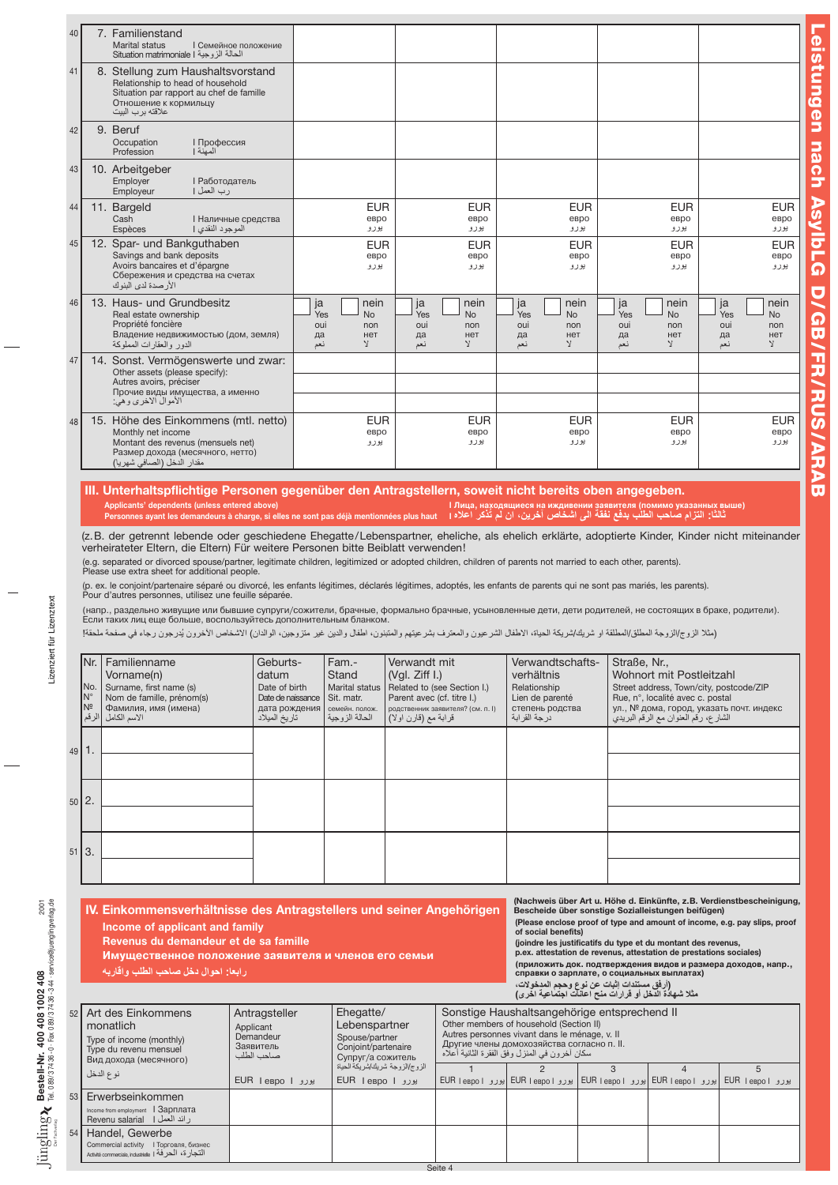| 40 | 7. Familienstand<br><b>Marital status</b><br><b>  Семейное положение</b><br>الحالة الزوجية Situation matrimoniale I                                                |                                                                       |                                                                                   |                                                                                  |                                                                                  |                                                                                  |
|----|--------------------------------------------------------------------------------------------------------------------------------------------------------------------|-----------------------------------------------------------------------|-----------------------------------------------------------------------------------|----------------------------------------------------------------------------------|----------------------------------------------------------------------------------|----------------------------------------------------------------------------------|
| 41 | 8. Stellung zum Haushaltsvorstand<br>Relationship to head of household<br>Situation par rapport au chef de famille<br>Отношение к кормильцу<br>علاقته بر ب البيت   |                                                                       |                                                                                   |                                                                                  |                                                                                  |                                                                                  |
| 42 | 9. Beruf<br><b>І Профессия</b><br>Occupation<br>المعنة ا<br>Profession                                                                                             |                                                                       |                                                                                   |                                                                                  |                                                                                  |                                                                                  |
| 43 | 10. Arbeitgeber<br>Employer<br><b>  Работодатель</b><br>رب العمل  <br>Employeur                                                                                    |                                                                       |                                                                                   |                                                                                  |                                                                                  |                                                                                  |
| 44 | 11. Bargeld<br>Cash<br><b>I Наличные средства</b><br>الموجود النقدي إ<br>Espèces                                                                                   | <b>EUR</b><br>евро<br>يورو                                            | <b>EUR</b><br>espo<br>يورو                                                        | <b>EUR</b><br>евро<br>يورو                                                       | <b>EUR</b><br>евро<br>يورو                                                       | <b>EUR</b><br>евро<br>يورو                                                       |
| 45 | 12. Spar- und Bankguthaben<br>Savings and bank deposits<br>Avoirs bancaires et d'épargne<br>Сбережения и средства на счетах<br>الأرصدة لدى البنوك                  | <b>EUR</b><br>евро<br>يورو                                            | <b>EUR</b><br>евро<br>يورو                                                        | <b>EUR</b><br>евро<br>يورو                                                       | <b>EUR</b><br>евро<br>يورو                                                       | <b>EUR</b><br>евро<br>يورو                                                       |
| 46 | 13. Haus- und Grundbesitz<br>Real estate ownership<br>Propriété foncière<br>Владение недвижимостью (дом, земля)<br>الدور والعقارات المملوكة                        | nein<br>ja<br>Yes<br><b>No</b><br>oui<br>non<br>да<br>нет<br>V<br>نعم | nein<br>ja<br>Yes<br><b>No</b><br>oui<br>non<br>нет<br>да<br>$\mathcal{A}$<br>نعم | nein<br>ja<br>Yes<br><b>No</b><br>oui<br>non<br>нет<br>да<br>$\mathbf{v}$<br>نعم | ja<br>nein<br>Yes<br><b>No</b><br>oui<br>non<br>нет<br>да<br>$\mathbf{v}$<br>نعم | ja<br>nein<br>Yes<br><b>No</b><br>oui<br>non<br>нет<br>да<br>$\mathbf{v}$<br>نعم |
| 47 | 14. Sonst. Vermögenswerte und zwar:<br>Other assets (please specify):<br>Autres avoirs, préciser<br>Прочие виды имущества, а именно<br>الأموال الاخرى وهي:         |                                                                       |                                                                                   |                                                                                  |                                                                                  |                                                                                  |
| 48 | 15. Höhe des Einkommens (mtl. netto)<br>Monthly net income<br>Montant des revenus (mensuels net)<br>Размер дохода (месячного, нетто)<br>مقدار الدخل (الصافي شهريا) | <b>EUR</b><br>евро<br>يورو                                            | <b>EUR</b><br>евро<br>يورو                                                        | <b>EUR</b><br>евро<br>يورو                                                       | <b>EUR</b><br>евро<br>يورو                                                       | <b>EUR</b><br>евро<br>يورو                                                       |

Leistungen nach Asylb

L  $\boldsymbol{\Omega}$ 

D/

GB/

**FR/RU** 

S

/ARAB

## III. Unterhaltspflichtige Personen gegenüber den Antragstellern, soweit nicht bereits oben angegeben. (помимо указанных выше) ممالك الـ Applicants' dependents (unless entered above)<br>Personnes ayant les demandeurs à charge, si elles ne sont pas déjà mentionnées plus haut التابا الترام صاحب الطلب بدفع نفقة الى اشخاص آخرين،

(z.B. der getrennt lebende oder geschiedene Ehegatte/Lebenspartner, eheliche, als ehelich erklärte, adoptierte Kinder, Kinder nicht miteinander verheirateter Eltern, die Eltern) Für weitere Personen bitte Beiblatt verwenden!

(e.g. separated or divorced spouse/partner, legitimate children, legitimized or adopted children, children of parents not married to each other, parents). Please use extra sheet for additional people.

(p. ex. le conjoint/partenaire séparé ou divorcé, les enfants légitimes, déclarés légitimes, adoptés, les enfants de parents qui ne sont pas mariés, les parents). Pour d'autres personnes, utilisez une feuille séparée.

(напр., раздельно живущие или бывшие супруги/сожители, брачные, формально брачные, усыновленные дети, дети родителей, не состоящих в браке, родители).<br>Если таких лиц еще больше, воспользуйтесь дополнительным бланком.

(مثلا الزوج/الزوجة المطلق/المطلقة او شريك/شريكة الحياة، الاطفال والمعترف بشرعيتهم والمتبنون، عبو ما وجون، الوالدان) الاشخاص الأخرون يُدرجون رجاء في صفحة ملحقة!

| Familienname<br>Vorname(n)                                         | Geburts-<br>datum                                           | Fam.-<br>Stand                                                          | Verwandt mit<br>(Vgl. Ziff I.)                             | Verwandtschafts-<br>verhältnis                                                                                               | Straße, Nr.,<br>Wohnort mit Postleitzahl                                                                                                         |
|--------------------------------------------------------------------|-------------------------------------------------------------|-------------------------------------------------------------------------|------------------------------------------------------------|------------------------------------------------------------------------------------------------------------------------------|--------------------------------------------------------------------------------------------------------------------------------------------------|
| Surname, first name (s)<br>Nom de famille, prénom(s)               | Date of birth                                               | Marital status<br>Sit. matr.                                            | Related to (see Section I.)<br>Parent avec (cf. titre I.)  | Relationship<br>Lien de parenté                                                                                              | Street address, Town/city, postcode/ZIP<br>Rue, nº, localité avec c. postal                                                                      |
| الاسم الكامل                                                       | дата рождения<br>تار يخ الميلاد                             | семейн. полож.<br>الحالة الزوجية                                        | родственник заявителя? (см. п. I)<br>قرابة مع (قارن اولاً) | степень родства<br>در جة القر ابة                                                                                            | ул., № дома, город, указать почт. индекс<br>الشارع، رقم العنوان مع الرقم البريدي                                                                 |
|                                                                    |                                                             |                                                                         |                                                            |                                                                                                                              |                                                                                                                                                  |
|                                                                    |                                                             |                                                                         |                                                            |                                                                                                                              |                                                                                                                                                  |
|                                                                    |                                                             |                                                                         |                                                            |                                                                                                                              |                                                                                                                                                  |
|                                                                    |                                                             |                                                                         |                                                            |                                                                                                                              |                                                                                                                                                  |
|                                                                    |                                                             |                                                                         |                                                            |                                                                                                                              |                                                                                                                                                  |
|                                                                    |                                                             |                                                                         |                                                            |                                                                                                                              |                                                                                                                                                  |
|                                                                    |                                                             |                                                                         |                                                            |                                                                                                                              | (Nachweis über Art u. Höhe d. Einkünfte, z.B. Verdienstbescheinigung,                                                                            |
|                                                                    |                                                             |                                                                         |                                                            |                                                                                                                              | Bescheide über sonstige Sozialleistungen beifügen)<br>(Please enclose proof of type and amount of income, e.g. pay slips, proof                  |
|                                                                    |                                                             |                                                                         |                                                            | of social benefits)                                                                                                          | (joindre les justificatifs du type et du montant des revenus,                                                                                    |
|                                                                    |                                                             |                                                                         |                                                            |                                                                                                                              | p.ex. attestation de revenus, attestation de prestations sociales)<br>(приложить док. подтверждения видов и размера доходов, напр.,              |
|                                                                    |                                                             |                                                                         |                                                            |                                                                                                                              |                                                                                                                                                  |
| INr.<br>No.<br>IN°<br>Nº<br>الرقم<br>l 2.<br>$51$ $\overline{3}$ . | Фамилия, имя (имена)<br>رابعا: احوال دخل صاحب الطلب واقاربه | Income of applicant and family<br>Revenus du demandeur et de sa famille | Date de naissance                                          | IV. Einkommensverhältnisse des Antragstellers und seiner Angehörigen<br>Имущественное положение заявителя и членов его семьи | справки о зарплате, о социальных выплатах)<br>(أرفق مستندات إثبات عن نوع وحجم المدخولات،<br>مثلا شهادة الدخل أو قرارات منح اعانات اجتماعية اخرى) |

|    |                                                                                                                    |                                                                    |                                                                                          |                                                                                                                                                                                                                                         |  | مند سهاده اندهن او فرارات منح اعانات اجتماعیه اهری) |                                                                                     |  |  |  |
|----|--------------------------------------------------------------------------------------------------------------------|--------------------------------------------------------------------|------------------------------------------------------------------------------------------|-----------------------------------------------------------------------------------------------------------------------------------------------------------------------------------------------------------------------------------------|--|-----------------------------------------------------|-------------------------------------------------------------------------------------|--|--|--|
|    | 52 Art des Einkommens<br>monatlich<br>Type of income (monthly)<br>Type du revenu mensuel<br>Вид дохода (месячного) | Antragsteller<br>Applicant<br>Demandeur<br>Заявитель<br>صاحب الطلب | Ehegatte/<br>Lebenspartner<br>Spouse/partner<br>Conjoint/partenaire<br>Супруг/а сожитель | Sonstige Haushaltsangehörige entsprechend II<br>Other members of household (Section II)<br>Autres personnes vivant dans le ménage, v. Il<br>Другие члены домохозяйства согласно п. II.<br>سكان أخرون في المنزل وفق الفقرة الثانية أعلاه |  |                                                     |                                                                                     |  |  |  |
|    | نو ع الدخل                                                                                                         | EUR lespo l پورو ا                                                 | الزوج/الزوجة شريك/شريكة الحياة<br>EUR lespo   پورو                                       |                                                                                                                                                                                                                                         |  |                                                     | يوزو EUR  eapol  يوزو EUR  eapol  يوزو EUR  eapol  يوزو EUR  eapol  يوزو EUR  eapol |  |  |  |
|    |                                                                                                                    |                                                                    |                                                                                          |                                                                                                                                                                                                                                         |  |                                                     |                                                                                     |  |  |  |
| 53 | Erwerbseinkommen                                                                                                   |                                                                    |                                                                                          |                                                                                                                                                                                                                                         |  |                                                     |                                                                                     |  |  |  |
|    | Income from employment   Зарплата<br>ر ائد العمل   Revenu salarial                                                 |                                                                    |                                                                                          |                                                                                                                                                                                                                                         |  |                                                     |                                                                                     |  |  |  |
| 54 | Handel, Gewerbe                                                                                                    |                                                                    |                                                                                          |                                                                                                                                                                                                                                         |  |                                                     |                                                                                     |  |  |  |
|    | Commercial activity  I Торговля, бизнес                                                                            |                                                                    |                                                                                          |                                                                                                                                                                                                                                         |  |                                                     |                                                                                     |  |  |  |
|    | التجارة، الحرفة Activité commerciale, industrielle   1                                                             |                                                                    |                                                                                          |                                                                                                                                                                                                                                         |  |                                                     |                                                                                     |  |  |  |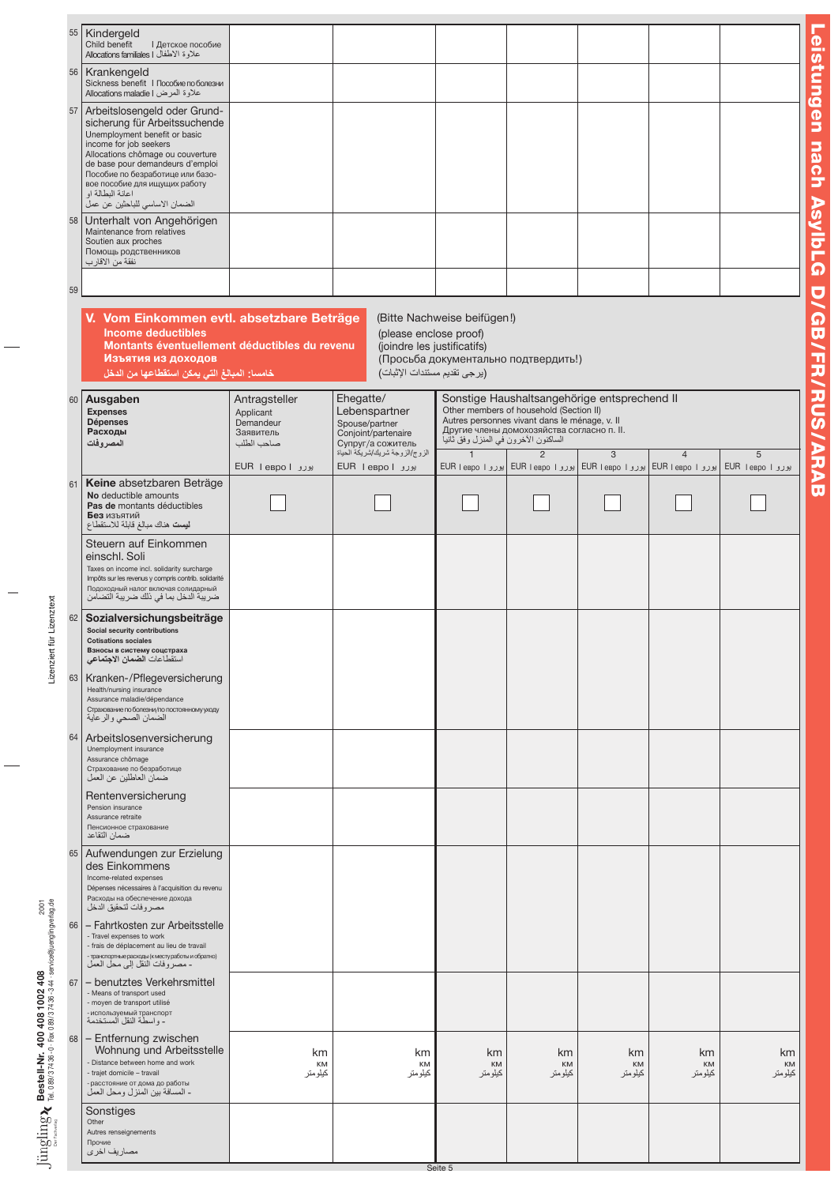|    | 55 Kindergeld<br>Child benefit<br><b>I</b> Детское пособие<br>علاوة الاطفال   Allocations familiales                                                                                                                                                                                                                          |                                                                    |                                                                                                                                                              |                                                      |                                                                                                                                                          |                                                   |                                                                       |                         |  |  |
|----|-------------------------------------------------------------------------------------------------------------------------------------------------------------------------------------------------------------------------------------------------------------------------------------------------------------------------------|--------------------------------------------------------------------|--------------------------------------------------------------------------------------------------------------------------------------------------------------|------------------------------------------------------|----------------------------------------------------------------------------------------------------------------------------------------------------------|---------------------------------------------------|-----------------------------------------------------------------------|-------------------------|--|--|
|    | 56   Krankengeld<br>Sickness benefit   Пособие по болезни<br>علاوة المرض Allocations maladie I                                                                                                                                                                                                                                |                                                                    |                                                                                                                                                              |                                                      |                                                                                                                                                          |                                                   |                                                                       |                         |  |  |
| 57 | Arbeitslosengeld oder Grund-<br>sicherung für Arbeitssuchende<br>Unemployment benefit or basic<br>income for job seekers<br>Allocations chômage ou couverture<br>de base pour demandeurs d'emploi<br>Пособие по безработице или базо-<br>вое пособие для ищущих работу<br>اعانة البطالة او<br>الضمان الاساسي للباحثين عن عملّ |                                                                    |                                                                                                                                                              |                                                      |                                                                                                                                                          |                                                   |                                                                       |                         |  |  |
|    | 58 Unterhalt von Angehörigen<br>Maintenance from relatives<br>Soutien aux proches<br>Помощь родственников<br>نفقة من الأقار ب                                                                                                                                                                                                 |                                                                    |                                                                                                                                                              |                                                      |                                                                                                                                                          |                                                   |                                                                       |                         |  |  |
| 59 |                                                                                                                                                                                                                                                                                                                               |                                                                    |                                                                                                                                                              |                                                      |                                                                                                                                                          |                                                   |                                                                       |                         |  |  |
|    | V. Vom Einkommen evtl. absetzbare Beträge<br><b>Income deductibles</b><br>Montants éventuellement déductibles du revenu<br>Изъятия из доходов<br>خامسا: المبالغ التي يمكن استقطاعها من الدخل                                                                                                                                  |                                                                    | (Bitte Nachweise beifügen!)<br>(please enclose proof)<br>(joindre les justificatifs)<br>(Просьба документально подтвердить!)<br>(يرجى تقديم مستندات الإثبات) |                                                      |                                                                                                                                                          |                                                   |                                                                       |                         |  |  |
|    | 60 Ausgaben<br><b>Expenses</b><br><b>Dépenses</b><br>Расходы<br>المصروفات                                                                                                                                                                                                                                                     | Antragsteller<br>Applicant<br>Demandeur<br>Заявитель<br>صاحب الطلب | Ehegatte/<br>Lebenspartner<br>Spouse/partner<br>Conjoint/partenaire<br>Супруг/а сожитель<br>الزوج/الزوجة شريك/شريكة الحياة                                   | الساكنون الأخرون في المنزل وفق ثانيا<br>$\mathbf{1}$ | Other members of household (Section II)<br>Autres personnes vivant dans le ménage, v. Il<br>Другие члены домохозяйства согласно п. II.<br>$\overline{2}$ | Sonstige Haushaltsangehörige entsprechend II<br>3 | $\overline{4}$                                                        | 5                       |  |  |
|    |                                                                                                                                                                                                                                                                                                                               | یورو EUR leвpol                                                    | EUR lespol يورو                                                                                                                                              |                                                      |                                                                                                                                                          |                                                   | يورو EUR   espo   يورو EUR   espo   يورو EUR   espo   يورو EUR   espo | <b>EUR</b> lespo l يورو |  |  |
| 61 | Keine absetzbaren Beträge<br>No deductible amounts<br>Pas de montants déductibles<br>Без изъятий<br>ليست هناك مبالغ قابلة للاستقطاع                                                                                                                                                                                           |                                                                    |                                                                                                                                                              |                                                      |                                                                                                                                                          |                                                   |                                                                       |                         |  |  |
|    | Steuern auf Einkommen<br>einschl. Soli<br>Taxes on income incl. solidarity surcharge<br>Impôts sur les revenus y compris contrib. solidarité<br>Подоходный налог включая солидарный<br>ضريبة الدخل بما في ذلك ضريبة التضامن                                                                                                   |                                                                    |                                                                                                                                                              |                                                      |                                                                                                                                                          |                                                   |                                                                       |                         |  |  |
| 62 | Sozialversichungsbeiträge<br>Social security contributions<br><b>Cotisations sociales</b><br>Взносы в систему соцстраха<br>استقطاعات ا <b>لضمان الاجتماعي</b>                                                                                                                                                                 |                                                                    |                                                                                                                                                              |                                                      |                                                                                                                                                          |                                                   |                                                                       |                         |  |  |
| 63 | Kranken-/Pflegeversicherung<br>Health/nursing insurance<br>Assurance maladie/dépendance<br>Страхование по болезни/по постоянному уходу<br>الضمان الصحى والرعاية                                                                                                                                                               |                                                                    |                                                                                                                                                              |                                                      |                                                                                                                                                          |                                                   |                                                                       |                         |  |  |
| 64 | Arbeitslosenversicherung<br>Unemployment insurance<br>Assurance chômage<br>Страхование по безработице<br>ضمان العاطلين عن العمل                                                                                                                                                                                               |                                                                    |                                                                                                                                                              |                                                      |                                                                                                                                                          |                                                   |                                                                       |                         |  |  |
|    | Rentenversicherung<br>Pension insurance<br>Assurance retraite<br>Пенсионное страхование<br>ضمان التقاعد                                                                                                                                                                                                                       |                                                                    |                                                                                                                                                              |                                                      |                                                                                                                                                          |                                                   |                                                                       |                         |  |  |
|    | 65 Aufwendungen zur Erzielung<br>des Einkommens<br>Income-related expenses<br>Dépenses nécessaires à l'acquisition du revenu<br>Расходы на обеспечение дохода<br>مصر وفات لتحقيق الدخل                                                                                                                                        |                                                                    |                                                                                                                                                              |                                                      |                                                                                                                                                          |                                                   |                                                                       |                         |  |  |
| 66 | - Fahrtkosten zur Arbeitsstelle<br>- Travel expenses to work<br>- frais de déplacement au lieu de travail<br>- транспортные расходы (к месту работы и обратно)<br>- مصر وفات النقل إلى محل العمل                                                                                                                              |                                                                    |                                                                                                                                                              |                                                      |                                                                                                                                                          |                                                   |                                                                       |                         |  |  |
| 67 | - benutztes Verkehrsmittel<br>- Means of transport used<br>- moyen de transport utilisé<br>- используемый транспорт<br>- واسطة النقل المستخدمة                                                                                                                                                                                |                                                                    |                                                                                                                                                              |                                                      |                                                                                                                                                          |                                                   |                                                                       |                         |  |  |
| 68 | - Entfernung zwischen<br>Wohnung und Arbeitsstelle<br>- Distance between home and work<br>- trajet domicile - travail<br>- расстояние от дома до работы<br>- المسافة بين المنزل ومحل العمل                                                                                                                                    | km<br>KM<br>كيلومتر                                                | km<br>KM<br><br>كيلومتر                                                                                                                                      | km<br>KM<br>كيلومتر                                  | km<br>KM<br>كيلومتر                                                                                                                                      | km<br>KM<br>كيلومتر                               | km<br>KM<br>كيلومتر                                                   | km<br>KM<br>كيلومتر     |  |  |
|    | Sonstiges<br>Other<br>Autres renseignements<br>Прочие<br>مصاريف اخرى                                                                                                                                                                                                                                                          |                                                                    |                                                                                                                                                              |                                                      |                                                                                                                                                          |                                                   |                                                                       |                         |  |  |

Leistungen nach Asylb L  $\boldsymbol{\Omega}$ D/ GB/ **FR/RU** S /ARAB

 $\mathrm{J}\mathrm{img}\mathrm{lin}\mathrm{g}\mathbf{\mathbf{\mathbf{\mathbf{\mathbf{Y}}}}_{\text{reco}-\text{reco}-\text{reco}-\text{reco}-\text{reco}-\text{reco}-\text{reco}-\text{reco}-\text{reco}-\text{reco}-\text{reco}-\text{reco}-\text{reco}-\text{reco}-\text{reco}-\text{reco}-\text{reco}-\text{reco}-\text{reco}-\text{reco}-\text{reco}-\text{reco}-\text{reco}-\text{reco}-\text{reco}-\text{reco}-\text{reco}-\text{reco}-\text{reco}-\text{reco}-\text{re$ Tel. 0 89/ 3 74 36 - 0 · Fax 0 89/ 3 74 36 - 3 44 · service@juenglingverlag.de Bestell-Nr. 400 408 1002 408 2001

Lizenziert für Lizenztext Lizenziert für Lizenztext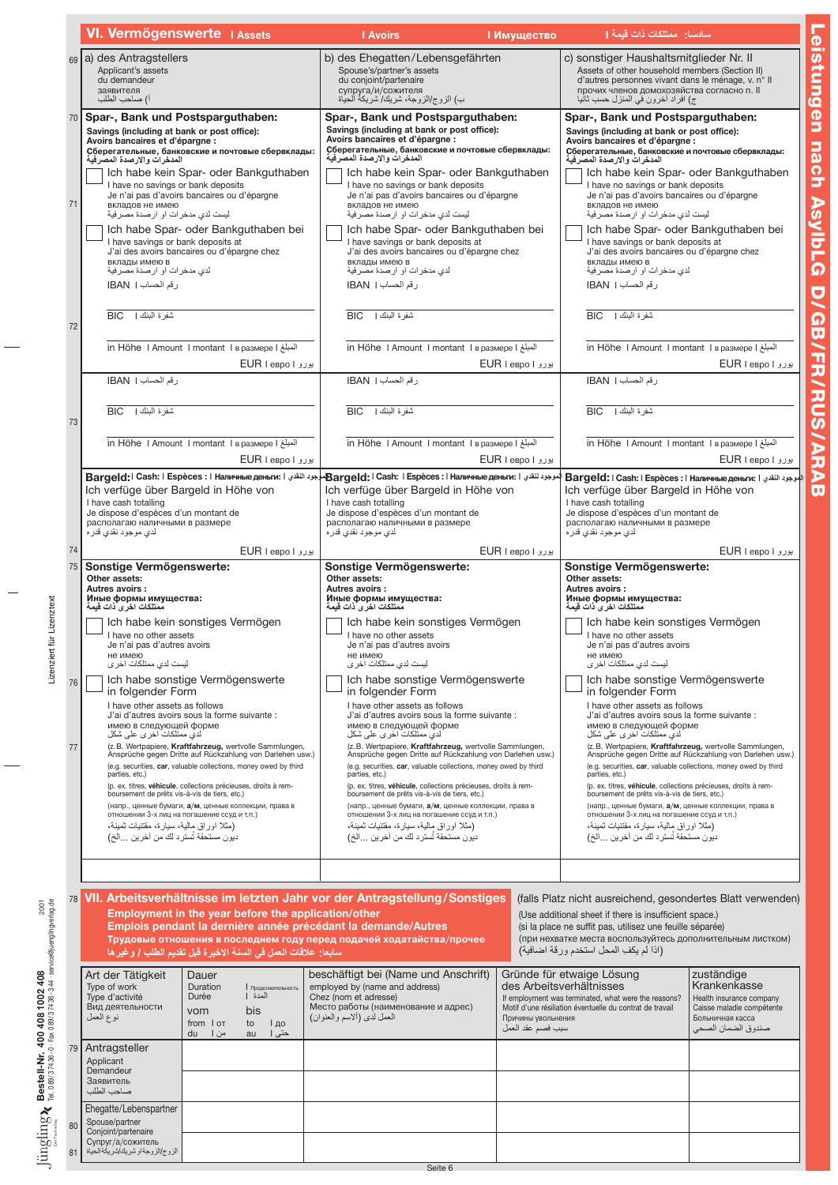|    | VI. Vermögenswerte I Assets                                                                                                                                                                                                                                                                                                                       | <b>I</b> Avoirs<br><b>Имущество</b>                                                                                                                                                                                                                                                                                                                                                          | سادسا: ممتلكات ذات قيمة [1                                                                                                                                                                                                                                                                                                                                                                                                                                                                                                                                                                                                                                                                    |  |  |
|----|---------------------------------------------------------------------------------------------------------------------------------------------------------------------------------------------------------------------------------------------------------------------------------------------------------------------------------------------------|----------------------------------------------------------------------------------------------------------------------------------------------------------------------------------------------------------------------------------------------------------------------------------------------------------------------------------------------------------------------------------------------|-----------------------------------------------------------------------------------------------------------------------------------------------------------------------------------------------------------------------------------------------------------------------------------------------------------------------------------------------------------------------------------------------------------------------------------------------------------------------------------------------------------------------------------------------------------------------------------------------------------------------------------------------------------------------------------------------|--|--|
|    | 69 a) des Antragstellers<br>Applicant's assets<br>du demandeur<br>заявителя<br>آ) صاحب الطلب                                                                                                                                                                                                                                                      | b) des Ehegatten/Lebensgefährten<br>Spouse's/partner's assets<br>du conjoint/partenaire<br>супруга/и/сожителя<br>ب) الزوج/الزوجة، شريك/ شَرْيِكَةُ الْحَيَاة                                                                                                                                                                                                                                 | c) sonstiger Haushaltsmitglieder Nr. II<br>Assets of other household members (Section II)<br>d'autres personnes vivant dans le ménage, v. n° Il<br>прочих членов домохозяйства согласно п. II<br>ج) افراد أخرون في المنزل حسب ثانيا                                                                                                                                                                                                                                                                                                                                                                                                                                                           |  |  |
|    | 70 Spar-, Bank und Postsparguthaben:<br>Savings (including at bank or post office):<br>Avoirs bancaires et d'épargne :<br>Сберегательные, банковские и почтовые сбервклады:<br>المدخرات والارصدة المصرفية<br>Ich habe kein Spar- oder Bankguthaben                                                                                                | Spar-, Bank und Postsparguthaben:<br>Savings (including at bank or post office):<br>Avoirs bancaires et d'épargne :<br>Сберегательные, банковские и почтовые сбервклады:<br>المدخر ات و الار صدة المصر فبة<br>Ich habe kein Spar- oder Bankguthaben                                                                                                                                          | Spar-, Bank und Postsparguthaben:<br>Savings (including at bank or post office):<br>Avoirs bancaires et d'épargne :<br>Сберегательные, банковские и почтовые сбервклады:<br>المدخرات والارصدة المصرفية<br>Ich habe kein Spar- oder Bankguthaben<br>I have no savings or bank deposits<br>Je n'ai pas d'avoirs bancaires ou d'épargne<br>вкладов не имею<br>ليست لدي مدخر ات او ارصدة مصر فية<br>Ich habe Spar- oder Bankguthaben bei                                                                                                                                                                                                                                                          |  |  |
| 71 | I have no savings or bank deposits<br>Je n'ai pas d'avoirs bancaires ou d'épargne<br>вкладов не имею<br>ليست لدى مدخر ات او ارصدة مصر فية<br>Ich habe Spar- oder Bankguthaben bei                                                                                                                                                                 | I have no savings or bank deposits<br>Je n'ai pas d'avoirs bancaires ou d'épargne<br>вкладов не имею<br>ليست لدى مدخر ات او ار صدة مصر فية<br>Ich habe Spar- oder Bankguthaben bei                                                                                                                                                                                                           |                                                                                                                                                                                                                                                                                                                                                                                                                                                                                                                                                                                                                                                                                               |  |  |
|    | I have savings or bank deposits at<br>J'ai des avoirs bancaires ou d'épargne chez<br>вклады имею в<br>لدي مدخر ات او ار صدة مصر فية<br>رقم الحساب IBAN 1                                                                                                                                                                                          | I have savings or bank deposits at<br>J'ai des avoirs bancaires ou d'épargne chez<br>вклады имею в<br>لدي مدخرات او ارصدة مصرفية<br>رقم الحساب IBAN 1                                                                                                                                                                                                                                        | I have savings or bank deposits at<br>J'ai des avoirs bancaires ou d'épargne chez<br>вклады имею в<br>لدي مدخرات او ارصدة مصرفية<br>رقم الحساب IBAN 1                                                                                                                                                                                                                                                                                                                                                                                                                                                                                                                                         |  |  |
| 72 | شفر ۃ البنك  <br><b>BIC</b>                                                                                                                                                                                                                                                                                                                       | شفر ۃ البنك  <br><b>BIC</b>                                                                                                                                                                                                                                                                                                                                                                  | شفر ۃ البنك  <br><b>BIC</b>                                                                                                                                                                                                                                                                                                                                                                                                                                                                                                                                                                                                                                                                   |  |  |
|    | in Höhe I Amount I montant I в размере I<br>بورو EUR I espo I                                                                                                                                                                                                                                                                                     | in Höhe I Amount I montant I в размере I<br>یورو EUR I espo I                                                                                                                                                                                                                                                                                                                                | in Höhe I Amount I montant I в размере I<br>یورو EUR I espo I                                                                                                                                                                                                                                                                                                                                                                                                                                                                                                                                                                                                                                 |  |  |
|    | رقم الحساب   IBAN                                                                                                                                                                                                                                                                                                                                 | رقم الحساب   IBAN                                                                                                                                                                                                                                                                                                                                                                            | رقم الحساب   IBAN                                                                                                                                                                                                                                                                                                                                                                                                                                                                                                                                                                                                                                                                             |  |  |
| 73 | شفرة البنك   BIC                                                                                                                                                                                                                                                                                                                                  | شفرة البنك   BIC                                                                                                                                                                                                                                                                                                                                                                             | شفرة البنك   BIC                                                                                                                                                                                                                                                                                                                                                                                                                                                                                                                                                                                                                                                                              |  |  |
|    | in Höhe I Amount I montant I в размере I<br>یورو EUR I евро I                                                                                                                                                                                                                                                                                     | in Höhe I Amount I montant I в размере I<br>بورو EUR I евро I                                                                                                                                                                                                                                                                                                                                | in Höhe I Amount I montant I в размере I<br>بورو EUR I espo I<br>  Ваrgeld:   Саsh:   Espèces :   Наличные деньги:   بالوجود النقدي   Bargeld:<br>Ich verfüge über Bargeld in Höhe von<br>I have cash totalling<br>Je dispose d'espèces d'un montant de<br>располагаю наличными в размере<br>لدي موجود نقدي قدر ه                                                                                                                                                                                                                                                                                                                                                                             |  |  |
|    | Ich verfüge über Bargeld in Höhe von<br>I have cash totalling<br>Je dispose d'espèces d'un montant de<br>располагаю наличными в размере<br>لدي موجود نقدي قدره                                                                                                                                                                                    | الموجود لنقدي Hanwunble дeньги: الموجود لتقدي المطوع المطوع المطوع التقدي التقدي التقدي Bargeld: I Cash: I Espèces : I Hanwunble дeньги: الموجود لتقدي Bargeld: I Cash: I Espèces : I Hanwunble والموجود التقدي Bargeld: I<br>Ich verfüge über Bargeld in Höhe von<br>I have cash totalling<br>Je dispose d'espèces d'un montant de<br>располагаю наличными в размере<br>لدي موجود نقدي قدره |                                                                                                                                                                                                                                                                                                                                                                                                                                                                                                                                                                                                                                                                                               |  |  |
| 74 | یورو EUR I евро I                                                                                                                                                                                                                                                                                                                                 | بورو EUR I евро I                                                                                                                                                                                                                                                                                                                                                                            | بورو EUR I espo I<br>Sonstige Vermögenswerte:                                                                                                                                                                                                                                                                                                                                                                                                                                                                                                                                                                                                                                                 |  |  |
| 75 | Sonstige Vermögenswerte:<br>Other assets:<br>Autres avoirs:<br>Иные формы имущества:                                                                                                                                                                                                                                                              | Sonstige Vermögenswerte:<br>Other assets:<br>Autres avoirs:<br>Иные формы имущества:                                                                                                                                                                                                                                                                                                         | Other assets:<br>Autres avoirs :<br>Иные формы имущества:                                                                                                                                                                                                                                                                                                                                                                                                                                                                                                                                                                                                                                     |  |  |
|    | ممتلكات اخر ى ذات قيمة<br>Ich habe kein sonstiges Vermögen<br>I have no other assets<br>Je n'ai pas d'autres avoirs<br>не имею<br>لیست لدی ممتلکات اخر ی                                                                                                                                                                                          | ممتلكات اخر ي ذات قيمة<br>Ich habe kein sonstiges Vermögen<br>I have no other assets<br>Je n'ai pas d'autres avoirs<br>не имею<br>لیست لدی ممتلکات اخر ی                                                                                                                                                                                                                                     | ممتلكات اخر ى ذات قيمة<br>Ich habe kein sonstiges Vermögen<br>I have no other assets<br>Je n'ai pas d'autres avoirs<br>не имею<br>ليست لدى ممتلكات اخر ي<br>Ich habe sonstige Vermögenswerte<br>in folgender Form<br>I have other assets as follows<br>J'ai d'autres avoirs sous la forme suivante :<br>имею в следующей форме<br>لدی ممتلکات اخر ی علی شکل<br>(z.B. Wertpapiere, Kraftfahrzeug, wertvolle Sammlungen,<br>Ansprüche gegen Dritte auf Rückzahlung von Darlehen usw.)<br>(e.g. securities, car, valuable collections, money owed by third<br>parties, etc.)<br>(p. ex. titres, véhicule, collections précieuses, droits à rem-<br>boursement de prêts vis-à-vis de tiers, etc.) |  |  |
| 76 | Ich habe sonstige Vermögenswerte<br>in folgender Form<br>I have other assets as follows<br>J'ai d'autres avoirs sous la forme suivante :<br>имею в следующей форме                                                                                                                                                                                | Ich habe sonstige Vermögenswerte<br>in folgender Form<br>I have other assets as follows<br>J'ai d'autres avoirs sous la forme suivante :<br>имею в следующей форме                                                                                                                                                                                                                           |                                                                                                                                                                                                                                                                                                                                                                                                                                                                                                                                                                                                                                                                                               |  |  |
| 77 | لدی ممتلکات اخر ی علی شکل<br>(z. B. Wertpapiere, Kraftfahrzeug, wertvolle Sammlungen,<br>Ansprüche gegen Dritte auf Rückzahlung von Darlehen usw.)<br>(e.g. securities, car, valuable collections, money owed by third<br>parties, etc.)<br>(p. ex. titres, véhicule, collections précieuses, droits à rem-                                       | لدی ممتلکات اخر ی علی شکل<br>(z.B. Wertpapiere, Kraftfahrzeug, wertvolle Sammlungen,<br>Ansprüche gegen Dritte auf Rückzahlung von Darlehen usw.)<br>(e.g. securities, car, valuable collections, money owed by third<br>parties, etc.)<br>(p. ex. titres, véhicule, collections précieuses, droits à rem-                                                                                   |                                                                                                                                                                                                                                                                                                                                                                                                                                                                                                                                                                                                                                                                                               |  |  |
|    | boursement de prêts vis-à-vis de tiers, etc.)<br>(напр., ценные бумаги, а/м, ценные коллекции, права в<br>отношении 3-х лиц на погашение ссуд и т.п.)                                                                                                                                                                                             | boursement de prêts vis-à-vis de tiers, etc.)<br>(напр., ценные бумаги, а/м, ценные коллекции, права в<br>отношении 3-х лиц на погашение ссуд и т.п.)<br>(مثلا اور اق مالية، سيارة، مقتنيات ثمينة،                                                                                                                                                                                           | (напр., ценные бумаги, а/м, ценные коллекции, права в<br>отношении 3-х лиц на погашение ссуд и т.п.)                                                                                                                                                                                                                                                                                                                                                                                                                                                                                                                                                                                          |  |  |
|    | (مثلا اوراق مالية، سيارة، مقتنيات ثمينة،<br>ديون مستحقة تُستر د لك من آخرين الخ)                                                                                                                                                                                                                                                                  | ديون مستحقة تُستر د لك من آخر ين الخ)                                                                                                                                                                                                                                                                                                                                                        | (مثلا اوراق مالية، سيارة، مقتنيات ثمينة،<br>ديون مستحقة تَستر د لك من آخر بن الخ)                                                                                                                                                                                                                                                                                                                                                                                                                                                                                                                                                                                                             |  |  |
|    | 78 VII. Arbeitsverhältnisse im letzten Jahr vor der Antragstellung/Sonstiges<br>Employment in the year before the application/other<br>Emplois pendant la dernière année précédant la demande/Autres<br>Трудовые отношения в последнем году перед подачей ходатайства/прочее<br>سَابِعا: علاقَات العمل في السنة الأخيرة قبل تقديم الطلب / وغير ها |                                                                                                                                                                                                                                                                                                                                                                                              | (Use additional sheet if there is insufficient space.)<br>(si la place ne suffit pas, utilisez une feuille séparée)<br>(اذا لم يكفِ المحل استخدم ورقة اضافية)                                                                                                                                                                                                                                                                                                                                                                                                                                                                                                                                 |  |  |
|    | Art der Tätigkeit<br>Dauer<br>Type of work<br>Duration<br>Продолжительность<br>Type d'activité<br>Durée<br>المدة  <br>Вид деятельности<br>bis<br>vom<br>نوع العمل<br>from I ot<br>to<br><b>  до</b><br>حتى ا<br>du<br>من ا<br>au                                                                                                                  | beschäftigt bei (Name und Anschrift)<br>employed by (name and address)<br>Chez (nom et adresse)<br>Место работы (наименование и адрес)<br>العمل لدى (ألاسم والعنوان)<br>Причины увольнения<br>سبب فصم عقد العمل                                                                                                                                                                              | Gründe für etwaige Lösung<br>zuständige<br>des Arbeitsverhältnisses<br>Krankenkasse<br>If employment was terminated, what were the reasons?<br>Health insurance company<br>Motif d'une résiliation éventuelle du contrat de travail<br>Caisse maladie compétente<br>Больничная касса<br>صندوق الضمان الصحى                                                                                                                                                                                                                                                                                                                                                                                    |  |  |
|    | 79 Antragsteller<br>Applicant<br>Demandeur<br>Заявитель<br>صباحب الطلب                                                                                                                                                                                                                                                                            |                                                                                                                                                                                                                                                                                                                                                                                              |                                                                                                                                                                                                                                                                                                                                                                                                                                                                                                                                                                                                                                                                                               |  |  |
| 80 | Ehegatte/Lebenspartner<br>Spouse/partner<br>Conjoint/partenaire                                                                                                                                                                                                                                                                                   |                                                                                                                                                                                                                                                                                                                                                                                              | (falls Platz nicht ausreichend, gesondertes Blatt verwenden)<br>(при нехватке места воспользуйтесь дополнительным листком)                                                                                                                                                                                                                                                                                                                                                                                                                                                                                                                                                                    |  |  |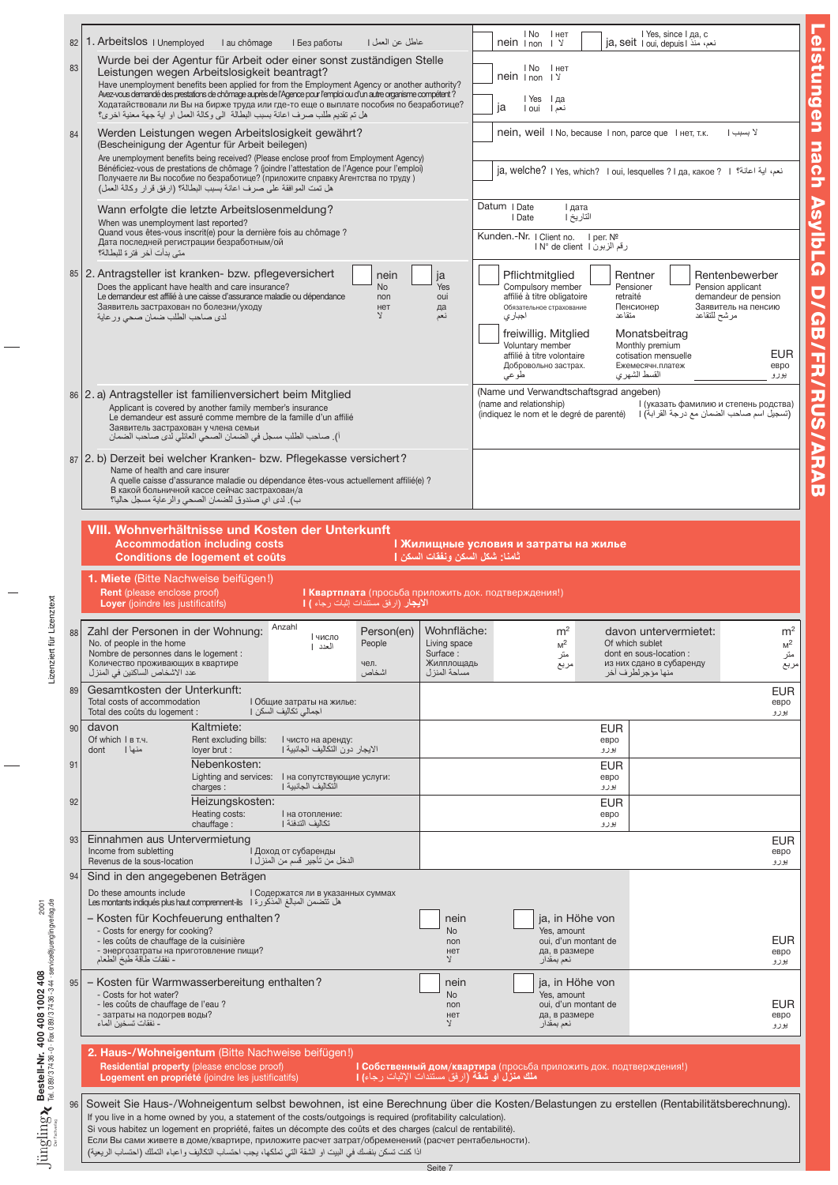| l No<br>I нет<br>1. Arbeitslos   Unemployed<br>عاطل عن العمل  <br>I au chômage<br>I Без работы<br>82<br>$n \in \mathbb{N}$ I non<br>$\sqrt{2}$<br>Wurde bei der Agentur für Arbeit oder einer sonst zuständigen Stelle<br>83<br>l No<br>I нет<br>Leistungen wegen Arbeitslosigkeit beantragt?<br>$n \in \mathbb{N}$   non   Y<br>Have unemployment benefits been applied for from the Employment Agency or another authority?<br>Avez-vous demandé des prestations de chômage auprès de l'Agence pour l'emploi ou d'un autre organisme compétent?<br>IYes Iда<br>Ходатайствовали ли Вы на бирже труда или где-то еще о выплате пособия по безработице? |                                                                                                                                                                                                                                         |
|--------------------------------------------------------------------------------------------------------------------------------------------------------------------------------------------------------------------------------------------------------------------------------------------------------------------------------------------------------------------------------------------------------------------------------------------------------------------------------------------------------------------------------------------------------------------------------------------------------------------------------------------------------|-----------------------------------------------------------------------------------------------------------------------------------------------------------------------------------------------------------------------------------------|
|                                                                                                                                                                                                                                                                                                                                                                                                                                                                                                                                                                                                                                                        | I Yes, since I да, с<br>ia, seit   oui. depuis   نعم، منذ                                                                                                                                                                               |
|                                                                                                                                                                                                                                                                                                                                                                                                                                                                                                                                                                                                                                                        |                                                                                                                                                                                                                                         |
| ja<br>l oui<br>نعم إ<br>هل تم تقديم طلب صرف اعانة بسبب البطالة الى وكالة العمل او اية جهة معنية اخرى؟                                                                                                                                                                                                                                                                                                                                                                                                                                                                                                                                                  |                                                                                                                                                                                                                                         |
| Werden Leistungen wegen Arbeitslosigkeit gewährt?<br>84<br>(Bescheinigung der Agentur für Arbeit beilegen)<br>Are unemployment benefits being received? (Please enclose proof from Employment Agency)<br>Bénéficiez-vous de prestations de chômage ? (joindre l'attestation de l'Agence pour l'emploi)                                                                                                                                                                                                                                                                                                                                                 | nein, weil INo, because Inon, parce que Iнет, т.к.<br>لا بسبب ا<br>ja, welche? I Yes, which? I oui, lesquelles ? I да, какое ? I الله اعانة؟ ا                                                                                          |
| Получаете ли Вы пособие по безработице? (приложите справку Агентства по труду)<br>هل تمت الموافقة على صرف اعانة بسبب البطالة؟ (ارفق قرار وكالة العمل)                                                                                                                                                                                                                                                                                                                                                                                                                                                                                                  |                                                                                                                                                                                                                                         |
| Datum   Date<br>I дата<br>Wann erfolgte die letzte Arbeitslosenmeldung?<br>I Date<br>When was unemployment last reported?<br>Quand vous êtes-vous inscrit(e) pour la dernière fois au chômage ?<br>Kunden.-Nr.   Client no.   per. №<br>Дата последней регистрации безработным/ой                                                                                                                                                                                                                                                                                                                                                                      | التاريخ  <br>رقم الزبون I N° de client l                                                                                                                                                                                                |
| متى بدأت آخر فترة للبطالة؟<br>85   2. Antragsteller ist kranken- bzw. pflegeversichert                                                                                                                                                                                                                                                                                                                                                                                                                                                                                                                                                                 |                                                                                                                                                                                                                                         |
| Pflichtmitglied<br>nein<br>ja<br>Does the applicant have health and care insurance?<br>Compulsory member<br><b>No</b><br>Yes<br>affilié à titre obligatoire<br>Le demandeur est affilié à une caisse d'assurance maladie ou dépendance<br>oui<br>non<br>Заявитель застрахован по болезни/уходу<br>Обязательное страхование<br>нет<br>да<br>V.<br>اجبار ي<br>لدى صاحب الطلب ضمان صحى ور عاية<br>نعم<br>freiwillig. Mitglied<br>Voluntary member<br>affilié à titre volontaire                                                                                                                                                                           | Rentenbewerber<br>Rentner<br>Pensioner<br>Pension applicant<br>demandeur de pension<br>retraité<br>Пенсионер<br>Заявитель на пенсию<br>متقاعد<br>مرشح للتقاعد<br>Monatsbeitrag<br>Monthly premium<br><b>EUR</b><br>cotisation mensuelle |
| Добровольно застрах.<br>طوعى                                                                                                                                                                                                                                                                                                                                                                                                                                                                                                                                                                                                                           | Ежемесячн.платеж<br>евро<br>القسط الشهري<br>يورو                                                                                                                                                                                        |
| (Name und Verwandtschaftsgrad angeben)<br>86 2. a) Antragsteller ist familienversichert beim Mitglied<br>(name and relationship)<br>Applicant is covered by another family member's insurance<br>Le demandeur est assuré comme membre de la famille d'un affilié<br>Заявитель застрахован у члена семьи<br>أ). صاحب الطلب مسجل في الضمان الصحي العائلي لدى صاحب الضمان                                                                                                                                                                                                                                                                                 | I (указать фамилию и степень родства)<br>(تسجيل اسم صاحب الضمان مع درجة القرابة)   (indiquez le nom et le degré de parenté)                                                                                                             |
| 87 (2. b) Derzeit bei welcher Kranken- bzw. Pflegekasse versichert?<br>Name of health and care insurer<br>A quelle caisse d'assurance maladie ou dépendance êtes-vous actuellement affilié(e) ?<br>В какой больничной кассе сейчас застрахован/а<br>ب). لدى اي صندوق للضمان الصحى والر عاية مسجل حاليا؟                                                                                                                                                                                                                                                                                                                                                |                                                                                                                                                                                                                                         |
| VIII. Wohnverhältnisse und Kosten der Unterkunft                                                                                                                                                                                                                                                                                                                                                                                                                                                                                                                                                                                                       |                                                                                                                                                                                                                                         |
| <b>Accommodation including costs</b><br>I Жилищные условия и затраты на жилье<br>ثامنا: شكل السكن ونفقات السكن [<br>Conditions de logement et coûts                                                                                                                                                                                                                                                                                                                                                                                                                                                                                                    |                                                                                                                                                                                                                                         |
| 1. Miete (Bitte Nachweise beifügen!)<br>Rent (please enclose proof)<br><b>  Квартплата</b> (просьба приложить док. подтверждения!)<br>الأيجار (ارفق مستندات إثبات رجاء ) [<br>Loyer (joindre les justificatifs)                                                                                                                                                                                                                                                                                                                                                                                                                                        |                                                                                                                                                                                                                                         |
| Anzahl<br>Zahl der Personen in der Wohnung:<br>m <sup>2</sup><br>Person(en)<br>Wohnfläche:<br>88                                                                                                                                                                                                                                                                                                                                                                                                                                                                                                                                                       | m <sup>2</sup><br>davon untervermietet:                                                                                                                                                                                                 |
| число<br>No. of people in the home<br>Living space<br>$M^2$<br>People<br>العدد  <br>Nombre de personnes dans le logement :<br>Surface:<br>متر<br>Количество проживающих в квартире<br>Жилплощадь<br>чел.<br>مربع<br>اشخاص<br>مساحة المنز ل<br>عدد الاشخاص الساكنين في المنز ل                                                                                                                                                                                                                                                                                                                                                                          | M <sup>2</sup><br>Of which sublet<br>dont en sous-location :<br>متر<br>из них сдано в субаренду<br>ىربع<br>منها مؤجر لطرف اخر                                                                                                           |
| Gesamtkosten der Unterkunft:<br>89<br>Total costs of accommodation<br>I Общие затраты на жилье:<br>اجمالي تكاليف السكن  <br>Total des coûts du logement :                                                                                                                                                                                                                                                                                                                                                                                                                                                                                              | <b>EUR</b><br>евро<br>يورو                                                                                                                                                                                                              |
| Kaltmiete:<br>davon<br>90<br>Of which $I$ $B$ T.4.<br>Rent excluding bills:<br>I чисто на аренду:<br>الايجار دون التكاليف الجانبية                                                                                                                                                                                                                                                                                                                                                                                                                                                                                                                     | <b>EUR</b><br>евро                                                                                                                                                                                                                      |
| منها ا<br>loyer brut :<br>dont<br>Nebenkosten:<br>91<br>Lighting and services: I на сопутствующие услуги:                                                                                                                                                                                                                                                                                                                                                                                                                                                                                                                                              | يورو<br><b>EUR</b><br>евро                                                                                                                                                                                                              |
| التكاليف الجانبية [<br>charges:<br>92<br>Heizungskosten:<br>Heating costs:<br>I на отопление:<br>تكاليف التدفئة إ                                                                                                                                                                                                                                                                                                                                                                                                                                                                                                                                      | يورو<br><b>EUR</b><br>евро                                                                                                                                                                                                              |
| chauffage:                                                                                                                                                                                                                                                                                                                                                                                                                                                                                                                                                                                                                                             | يورو<br><b>EUR</b><br>евро                                                                                                                                                                                                              |
| Einnahmen aus Untervermietung<br>93<br>Income from subletting<br>I Доход от субаренды                                                                                                                                                                                                                                                                                                                                                                                                                                                                                                                                                                  | يورو                                                                                                                                                                                                                                    |
| Revenus de la sous-location<br>الدخل من تأجير. فسم من المنزل  <br>94<br>Sind in den angegebenen Beträgen                                                                                                                                                                                                                                                                                                                                                                                                                                                                                                                                               |                                                                                                                                                                                                                                         |
| Do these amounts include<br>I Содержатся ли в указанных суммах<br>هل تتضمن المبالغ المذكورة Les montants indiqués plus haut comprennent-ils    I                                                                                                                                                                                                                                                                                                                                                                                                                                                                                                       |                                                                                                                                                                                                                                         |
| - Kosten für Kochfeuerung enthalten?<br>nein<br>- Costs for energy for cooking?<br>No<br>Yes. amount<br>- les coûts de chauffage de la cuisinière<br>non<br>- энергозатраты на приготовление пищи?<br>да, в размере<br>нет<br>- نفقات طاقة طبخ الطعام<br>Y.<br>نعم بمقدار                                                                                                                                                                                                                                                                                                                                                                              | ja, in Höhe von<br><b>EUR</b><br>oui, d'un montant de<br>евро<br>يورو                                                                                                                                                                   |
| - Kosten für Warmwasserbereitung enthalten?<br>nein<br>95<br>- Costs for hot water?<br><b>No</b><br>Yes. amount<br>- les coûts de chauffage de l'eau ?<br>non<br>- затраты на подогрев воды?<br>да, в размере<br>нет<br>- نفقات تسخين الماء<br>λ<br>نعم بمقدار                                                                                                                                                                                                                                                                                                                                                                                         | ja, in Höhe von<br><b>EUR</b><br>oui, d'un montant de<br>евро<br>يورو                                                                                                                                                                   |
|                                                                                                                                                                                                                                                                                                                                                                                                                                                                                                                                                                                                                                                        |                                                                                                                                                                                                                                         |
| 2. Haus-/Wohneigentum (Bitte Nachweise beifügen!)<br>Residential property (please enclose proof)<br><b>I Собственный дом/квартира</b> (просьба приложить док. подтверждения!)<br><b>ملك منزل او شقة (</b> ار فق مستندات الإثبات ر جاء <b>) [</b><br>Logement en propriété (joindre les justificatifs)                                                                                                                                                                                                                                                                                                                                                  |                                                                                                                                                                                                                                         |

Leistungen nach Asylb L  $\boldsymbol{\Omega}$ D/ GB/ **FR/RU** S /ARAB

Lizenziert für Lizenztext Lizenziert für Lizenztext